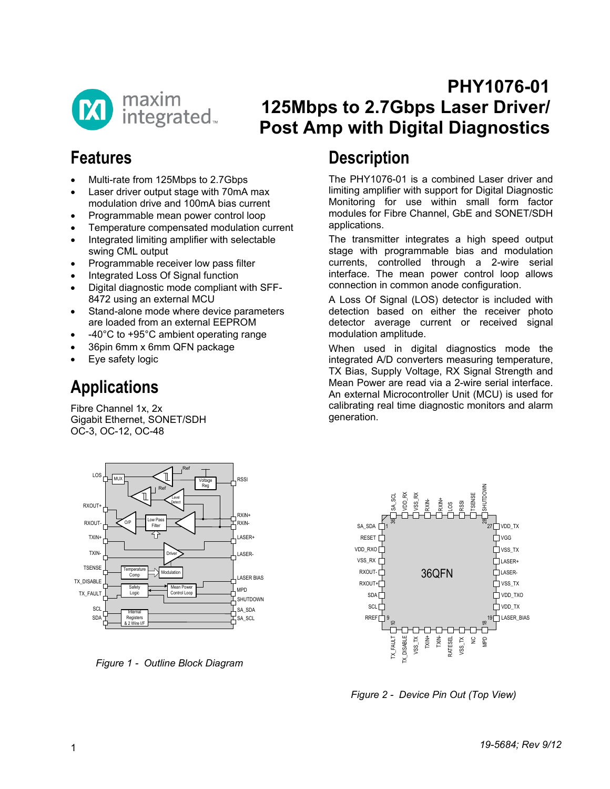

## **PHY1076-01 125Mbps to 2.7Gbps Laser Driver/ Post Amp with Digital Diagnostics**

## **Features**

- Multi-rate from 125Mbps to 2.7Gbps
- Laser driver output stage with 70mA max modulation drive and 100mA bias current
- Programmable mean power control loop
- Temperature compensated modulation current
- Integrated limiting amplifier with selectable swing CML output
- Programmable receiver low pass filter
- Integrated Loss Of Signal function
- Digital diagnostic mode compliant with SFF-8472 using an external MCU
- Stand-alone mode where device parameters are loaded from an external EEPROM
- -40°C to +95°C ambient operating range
- 36pin 6mm x 6mm QFN package
- Eye safety logic

# **Applications**

Fibre Channel 1x, 2x Gigabit Ethernet, SONET/SDH OC-3, OC-12, OC-48



*Figure 1 - Outline Block Diagram*

## **Description**

The PHY1076-01 is a combined Laser driver and limiting amplifier with support for Digital Diagnostic Monitoring for use within small form factor modules for Fibre Channel, GbE and SONET/SDH applications.

The transmitter integrates a high speed output stage with programmable bias and modulation currents, controlled through a 2-wire serial interface. The mean power control loop allows connection in common anode configuration.

A Loss Of Signal (LOS) detector is included with detection based on either the receiver photo detector average current or received signal modulation amplitude.

When used in digital diagnostics mode the integrated A/D converters measuring temperature, TX Bias, Supply Voltage, RX Signal Strength and Mean Power are read via a 2-wire serial interface. An external Microcontroller Unit (MCU) is used for calibrating real time diagnostic monitors and alarm generation.



*Figure 2 - Device Pin Out (Top View)*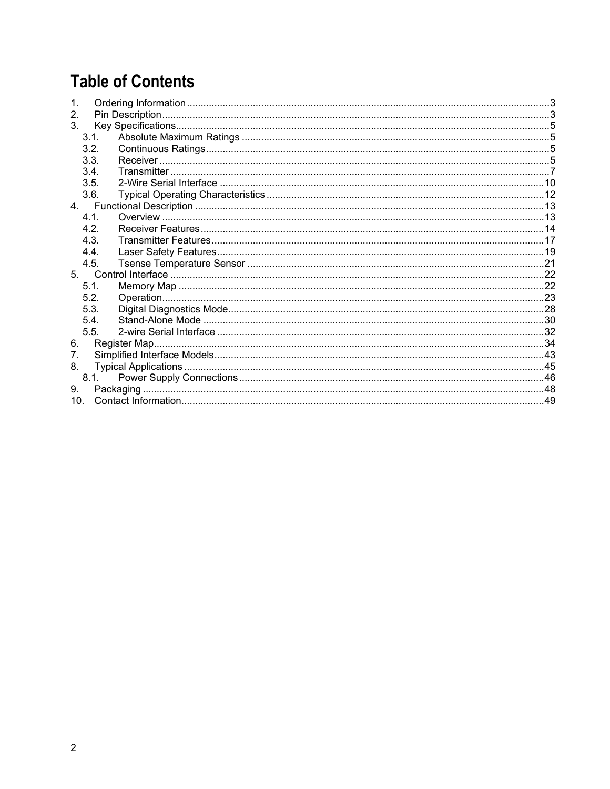# **Table of Contents**

| 2.              |  |
|-----------------|--|
| 3.              |  |
| 3.1.            |  |
| 3.2.            |  |
| 3.3.            |  |
| 3.4.            |  |
| 3.5.            |  |
| 3.6.            |  |
|                 |  |
| 4.1             |  |
| 4.2.            |  |
| 4.3.            |  |
| 4.4.            |  |
| 4.5.            |  |
|                 |  |
| 5.1.            |  |
| 5.2.            |  |
| 5.3.            |  |
| 5.4.            |  |
| 5.5.            |  |
| 6.              |  |
| 7.              |  |
| 8.              |  |
| 8.1.            |  |
| 9.              |  |
| 10 <sub>1</sub> |  |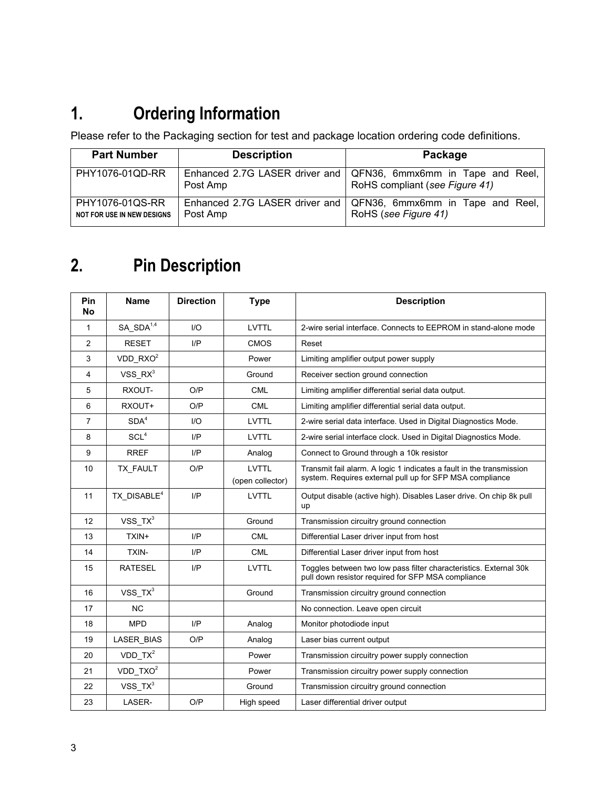# <span id="page-2-0"></span>**1. Ordering Information**

Please refer to the Packaging section for test and package location ordering code definitions.

| <b>Part Number</b>                                   | <b>Description</b>                         | Package                                                            |
|------------------------------------------------------|--------------------------------------------|--------------------------------------------------------------------|
| PHY1076-01QD-RR                                      | Enhanced 2.7G LASER driver and<br>Post Amp | QFN36, 6mmx6mm in Tape and Reel,<br>RoHS compliant (see Figure 41) |
| PHY1076-01QS-RR<br><b>NOT FOR USE IN NEW DESIGNS</b> | Enhanced 2.7G LASER driver and<br>Post Amp | QFN36, 6mmx6mm in Tape and Reel,<br>RoHS (see Figure 41)           |

# <span id="page-2-1"></span>**2. Pin Description**

| Pin<br><b>No</b> | <b>Name</b>             | <b>Direction</b> | <b>Type</b>                      | <b>Description</b>                                                                                                               |
|------------------|-------------------------|------------------|----------------------------------|----------------------------------------------------------------------------------------------------------------------------------|
| 1                | SA SDA <sup>1,4</sup>   | 1/O              | <b>LVTTL</b>                     | 2-wire serial interface. Connects to EEPROM in stand-alone mode                                                                  |
| $\overline{2}$   | <b>RESET</b>            | I/P              | <b>CMOS</b>                      | Reset                                                                                                                            |
| 3                | $VDD_RXO^2$             |                  | Power                            | Limiting amplifier output power supply                                                                                           |
| 4                | $VSS_RX^3$              |                  | Ground                           | Receiver section ground connection                                                                                               |
| 5                | RXOUT-                  | O/P              | <b>CML</b>                       | Limiting amplifier differential serial data output.                                                                              |
| 6                | RXOUT+                  | O/P              | <b>CML</b>                       | Limiting amplifier differential serial data output.                                                                              |
| 7                | SDA <sup>4</sup>        | 1/O              | <b>LVTTL</b>                     | 2-wire serial data interface. Used in Digital Diagnostics Mode.                                                                  |
| 8                | SCL <sup>4</sup>        | $_{\text{UP}}$   | <b>LVTTL</b>                     | 2-wire serial interface clock. Used in Digital Diagnostics Mode.                                                                 |
| 9                | <b>RREF</b>             | I/P              | Analog                           | Connect to Ground through a 10k resistor                                                                                         |
| 10               | TX_FAULT                | O/P              | <b>LVTTL</b><br>(open collector) | Transmit fail alarm. A logic 1 indicates a fault in the transmission<br>system. Requires external pull up for SFP MSA compliance |
| 11               | TX_DISABLE <sup>4</sup> | $_{\text{IP}}$   | <b>LVTTL</b>                     | Output disable (active high). Disables Laser drive. On chip 8k pull<br>up                                                        |
| 12               | $VSS_TX^3$              |                  | Ground                           | Transmission circuitry ground connection                                                                                         |
| 13               | TXIN+                   | I/P              | <b>CML</b>                       | Differential Laser driver input from host                                                                                        |
| 14               | <b>TXIN-</b>            | I/P              | <b>CML</b>                       | Differential Laser driver input from host                                                                                        |
| 15               | <b>RATESEL</b>          | I/P              | <b>LVTTL</b>                     | Toggles between two low pass filter characteristics. External 30k<br>pull down resistor required for SFP MSA compliance          |
| 16               | VSS_TX <sup>3</sup>     |                  | Ground                           | Transmission circuitry ground connection                                                                                         |
| 17               | <b>NC</b>               |                  |                                  | No connection. Leave open circuit                                                                                                |
| 18               | <b>MPD</b>              | I/P              | Analog                           | Monitor photodiode input                                                                                                         |
| 19               | LASER_BIAS              | O/P              | Analog                           | Laser bias current output                                                                                                        |
| 20               | $VDD_TX^2$              |                  | Power                            | Transmission circuitry power supply connection                                                                                   |
| 21               | $VDD_TXO^2$             |                  | Power                            | Transmission circuitry power supply connection                                                                                   |
| 22               | $VSS_TX^3$              |                  | Ground                           | Transmission circuitry ground connection                                                                                         |
| 23               | LASER-                  | O/P              | High speed                       | Laser differential driver output                                                                                                 |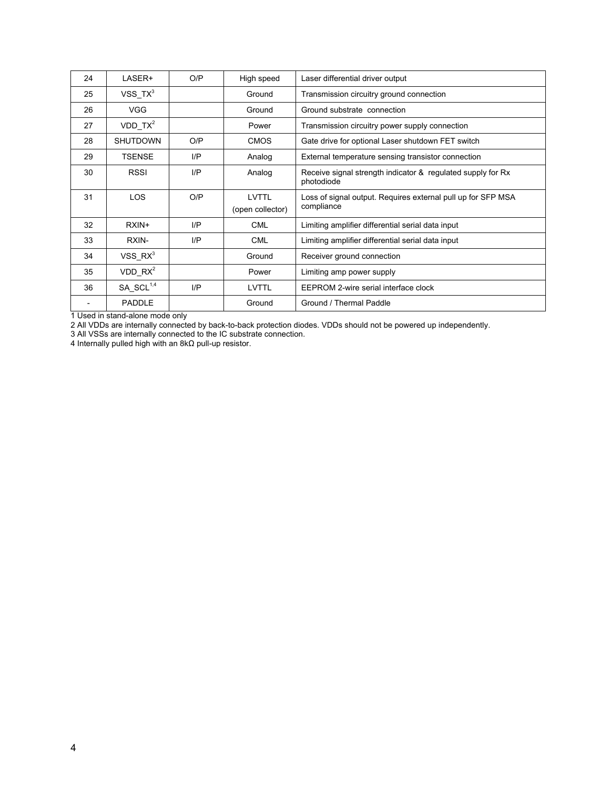| 24 | LASER+              | O/P | High speed                       | Laser differential driver output                                           |
|----|---------------------|-----|----------------------------------|----------------------------------------------------------------------------|
| 25 | $VSS_TX^3$          |     | Ground                           | Transmission circuitry ground connection                                   |
| 26 | <b>VGG</b>          |     | Ground                           | Ground substrate connection                                                |
| 27 | $VDD_TX^2$          |     | Power                            | Transmission circuitry power supply connection                             |
| 28 | <b>SHUTDOWN</b>     | O/P | <b>CMOS</b>                      | Gate drive for optional Laser shutdown FET switch                          |
| 29 | TSENSE              | I/P | Analog                           | External temperature sensing transistor connection                         |
| 30 | <b>RSSI</b>         | I/P | Analog                           | Receive signal strength indicator & regulated supply for Rx<br>photodiode  |
| 31 | <b>LOS</b>          | O/P | <b>LVTTL</b><br>(open collector) | Loss of signal output. Requires external pull up for SFP MSA<br>compliance |
| 32 | RXIN+               | I/P | <b>CML</b>                       | Limiting amplifier differential serial data input                          |
| 33 | RXIN-               | I/P | <b>CML</b>                       | Limiting amplifier differential serial data input                          |
| 34 | VSS RX <sup>3</sup> |     | Ground                           | Receiver ground connection                                                 |
| 35 | VDD RX <sup>2</sup> |     | Power                            | Limiting amp power supply                                                  |
| 36 | $SA\_SCL^{1,4}$     | I/P | LVTTL                            | EEPROM 2-wire serial interface clock                                       |
|    | PADDLE              |     | Ground                           | Ground / Thermal Paddle                                                    |

1 Used in stand-alone mode only

2 All VDDs are internally connected by back-to-back protection diodes. VDDs should not be powered up independently.

3 All VSSs are internally connected to the IC substrate connection.

4 Internally pulled high with an 8kΩ pull-up resistor.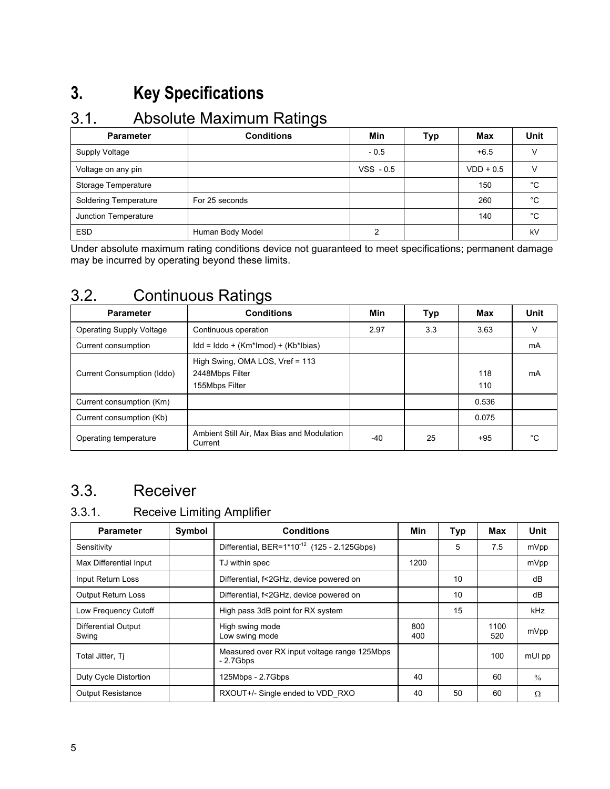# <span id="page-4-0"></span>**3. Key Specifications**

### <span id="page-4-1"></span>3.1. Absolute Maximum Ratings

| <b>Parameter</b>             | $\tilde{\phantom{a}}$<br><b>Conditions</b> | Min         | Typ | Max         | Unit |
|------------------------------|--------------------------------------------|-------------|-----|-------------|------|
| Supply Voltage               |                                            | $-0.5$      |     | $+6.5$      |      |
| Voltage on any pin           |                                            | $VSS - 0.5$ |     | $VDD + 0.5$ |      |
| Storage Temperature          |                                            |             |     | 150         | °C   |
| <b>Soldering Temperature</b> | For 25 seconds                             |             |     | 260         | °C   |
| Junction Temperature         |                                            |             |     | 140         | °C   |
| <b>ESD</b>                   | Human Body Model                           | ົ           |     |             | kV   |

Under absolute maximum rating conditions device not guaranteed to meet specifications; permanent damage may be incurred by operating beyond these limits.

### <span id="page-4-2"></span>3.2. Continuous Ratings

| <b>Parameter</b>                | <b>Conditions</b>                                                         | Min  | Typ | <b>Max</b> | Unit |
|---------------------------------|---------------------------------------------------------------------------|------|-----|------------|------|
| <b>Operating Supply Voltage</b> | Continuous operation                                                      | 2.97 | 3.3 | 3.63       | v    |
| Current consumption             | $\mathsf{Idd} = \mathsf{Iddo} + (\mathsf{Km*Imod}) + (\mathsf{Kb*lbias})$ |      |     |            | mA   |
| Current Consumption (Iddo)      | High Swing, OMA LOS, Vref = 113<br>2448Mbps Filter<br>155Mbps Filter      |      |     | 118<br>110 | mA   |
| Current consumption (Km)        |                                                                           |      |     | 0.536      |      |
| Current consumption (Kb)        |                                                                           |      |     | 0.075      |      |
| Operating temperature           | Ambient Still Air, Max Bias and Modulation<br>Current                     | -40  | 25  | $+95$      | °€   |

## <span id="page-4-3"></span>3.3. Receiver

### 3.3.1. Receive Limiting Amplifier

| <b>Parameter</b>             | Symbol | <b>Conditions</b>                                          | Min        | Typ | Max         | Unit          |
|------------------------------|--------|------------------------------------------------------------|------------|-----|-------------|---------------|
| Sensitivity                  |        | Differential, BER=1*10 <sup>-12</sup> (125 - 2.125Gbps)    |            | 5   | 7.5         | mVpp          |
| Max Differential Input       |        | TJ within spec                                             | 1200       |     |             | mVpp          |
| Input Return Loss            |        | Differential, f<2GHz, device powered on                    |            | 10  |             | dB            |
| <b>Output Return Loss</b>    |        | Differential, f<2GHz, device powered on                    |            | 10  |             | dB            |
| Low Frequency Cutoff         |        | High pass 3dB point for RX system                          |            | 15  |             | kHz           |
| Differential Output<br>Swing |        | High swing mode<br>Low swing mode                          | 800<br>400 |     | 1100<br>520 | mVpp          |
| Total Jitter, Ti             |        | Measured over RX input voltage range 125Mbps<br>$-2.7Gbps$ |            |     | 100         | mUI pp        |
| Duty Cycle Distortion        |        | 125Mbps - 2.7Gbps                                          | 40         |     | 60          | $\frac{0}{0}$ |
| <b>Output Resistance</b>     |        | RXOUT+/- Single ended to VDD RXO                           | 40         | 50  | 60          | Ω             |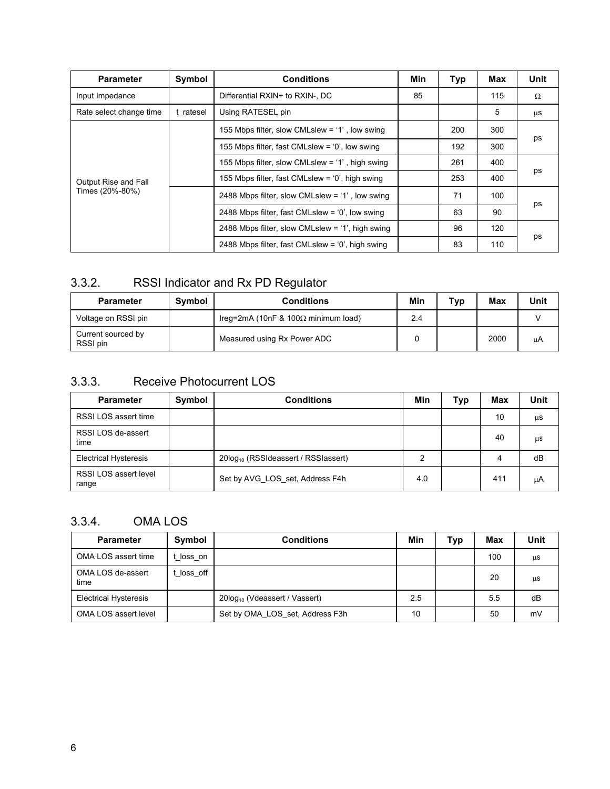| <b>Parameter</b>        | Symbol    | <b>Conditions</b>                                  | Min | Typ | Max | Unit |
|-------------------------|-----------|----------------------------------------------------|-----|-----|-----|------|
| Input Impedance         |           | Differential RXIN+ to RXIN-. DC                    | 85  |     | 115 | Ω    |
| Rate select change time | t ratesel | Using RATESEL pin                                  |     |     | 5   | μS   |
|                         |           | 155 Mbps filter, slow CMLslew = '1', low swing     |     | 200 | 300 |      |
|                         |           | 155 Mbps filter, fast CMLslew = $0'$ , low swing   |     | 192 | 300 | ps   |
|                         |           | 155 Mbps filter, slow CMLslew = '1', high swing    |     | 261 | 400 |      |
| Output Rise and Fall    |           | 155 Mbps filter, fast CMLslew = $0'$ , high swing  |     | 253 | 400 | ps   |
| Times (20%-80%)         |           | 2488 Mbps filter, slow CMLslew = $1'$ , low swing  |     | 71  | 100 |      |
|                         |           | 2488 Mbps filter, fast CMLslew = $0'$ , low swing  |     | 63  | 90  | ps   |
|                         |           | 2488 Mbps filter, slow CMLslew = $1'$ , high swing |     | 96  | 120 |      |
|                         |           | 2488 Mbps filter, fast CMLslew = $0'$ , high swing |     | 83  | 110 | ps   |

### 3.3.2. RSSI Indicator and Rx PD Regulator

| <b>Parameter</b>               | Symbol | <b>Conditions</b>                           | Min | тур | Max  | Unit |
|--------------------------------|--------|---------------------------------------------|-----|-----|------|------|
| Voltage on RSSI pin            |        | Ireq=2mA (10nF & 100 $\Omega$ minimum load) | 2.4 |     |      |      |
| Current sourced by<br>RSSI pin |        | Measured using Rx Power ADC                 |     |     | 2000 | μA   |

### 3.3.3. Receive Photocurrent LOS

| <b>Parameter</b>               | Symbol | <b>Conditions</b>                               | Min | Typ | Max | Unit |
|--------------------------------|--------|-------------------------------------------------|-----|-----|-----|------|
| RSSI LOS assert time           |        |                                                 |     |     | 10  | μS   |
| RSSI LOS de-assert<br>time     |        |                                                 |     |     | 40  | μS   |
| <b>Electrical Hysteresis</b>   |        | 20log <sub>10</sub> (RSSIdeassert / RSSIassert) | 2   |     | 4   | dB   |
| RSSI LOS assert level<br>range |        | Set by AVG LOS set, Address F4h                 | 4.0 |     | 411 | μA   |

### 3.3.4. OMA LOS

| <b>Parameter</b>             | Symbol   | <b>Conditions</b>                         | Min | <b>Typ</b> | Max | Unit |
|------------------------------|----------|-------------------------------------------|-----|------------|-----|------|
| OMA LOS assert time          | loss on  |                                           |     |            | 100 | μS   |
| OMA LOS de-assert<br>time    | loss off |                                           |     |            | 20  | μS   |
| <b>Electrical Hysteresis</b> |          | 20log <sub>10</sub> (Vdeassert / Vassert) | 2.5 |            | 5.5 | dB   |
| OMA LOS assert level         |          | Set by OMA LOS set, Address F3h           | 10  |            | 50  | mV   |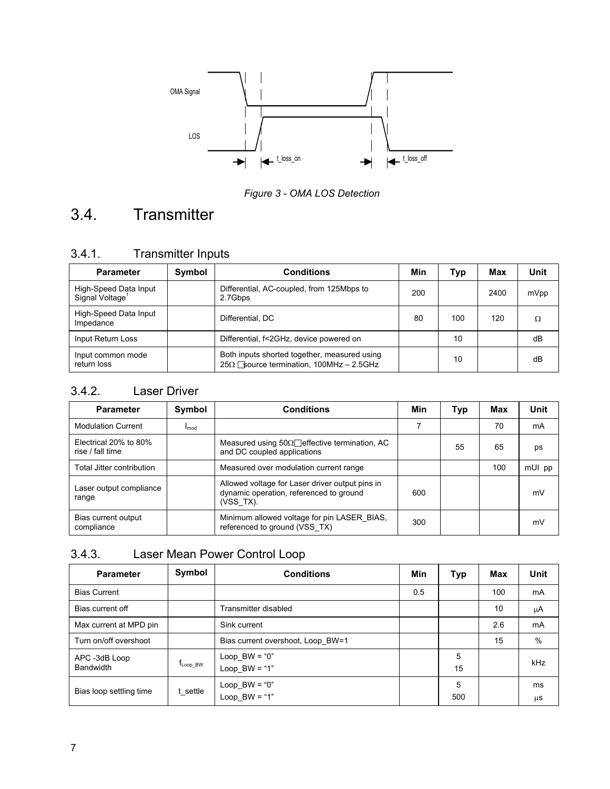

*Figure 3 - OMA LOS Detection*

# <span id="page-6-0"></span>3.4. Transmitter

| <b>Transmitter Inputs</b> |
|---------------------------|
|                           |

| <b>Parameter</b>                                     | Symbol | <b>Conditions</b>                                                                              | Min | Typ | Max  | Unit |
|------------------------------------------------------|--------|------------------------------------------------------------------------------------------------|-----|-----|------|------|
| High-Speed Data Input<br>Signal Voltage <sup>1</sup> |        | Differential, AC-coupled, from 125Mbps to<br>2.7Gbps                                           | 200 |     | 2400 | mVpp |
| High-Speed Data Input<br>Impedance                   |        | Differential, DC                                                                               | 80  | 100 | 120  | Ω    |
| Input Return Loss                                    |        | Differential, f<2GHz, device powered on                                                        |     | 10  |      | dB   |
| Input common mode<br>return loss                     |        | Both inputs shorted together, measured using<br>$25\Omega$ Source termination, 100MHz - 2.5GHz |     | 10  |      | dB   |

### 3.4.2. Laser Driver

| <b>Parameter</b>                          | Symbol    | <b>Conditions</b>                                                                                       | Min | Typ | Max | Unit   |
|-------------------------------------------|-----------|---------------------------------------------------------------------------------------------------------|-----|-----|-----|--------|
| <b>Modulation Current</b>                 | $I_{mod}$ |                                                                                                         | 7   |     | 70  | mA     |
| Electrical 20% to 80%<br>rise / fall time |           | Measured using $50\Omega$ effective termination, AC<br>and DC coupled applications                      |     | 55  | 65  | ps     |
| Total Jitter contribution                 |           | Measured over modulation current range                                                                  |     |     | 100 | mUI pp |
| Laser output compliance<br>range          |           | Allowed voltage for Laser driver output pins in<br>dynamic operation, referenced to ground<br>(VSS TX). | 600 |     |     | mV     |
| Bias current output<br>compliance         |           | Minimum allowed voltage for pin LASER BIAS,<br>referenced to ground (VSS_TX)                            | 300 |     |     | mV     |

### 3.4.3. Laser Mean Power Control Loop

| <b>Parameter</b>           | Symbol                  | <b>Conditions</b>                  | Min | Typ      | Max | Unit       |
|----------------------------|-------------------------|------------------------------------|-----|----------|-----|------------|
| <b>Bias Current</b>        |                         |                                    | 0.5 |          | 100 | mA         |
| Bias current off           |                         | Transmitter disabled               |     |          | 10  | μA         |
| Max current at MPD pin     |                         | Sink current                       |     |          | 2.6 | mA         |
| Turn on/off overshoot      |                         | Bias current overshoot, Loop BW=1  |     |          | 15  | $\%$       |
| APC -3dB Loop<br>Bandwidth | $f_{\mathsf{Loop\_BW}}$ | Loop $BW = "0"$<br>$Loop_BW = "1"$ |     | 5<br>15  |     | <b>kHz</b> |
| Bias loop settling time    | t settle                | $Loop_BW = "0"$<br>$Loop_BW = "1"$ |     | 5<br>500 |     | ms<br>μS   |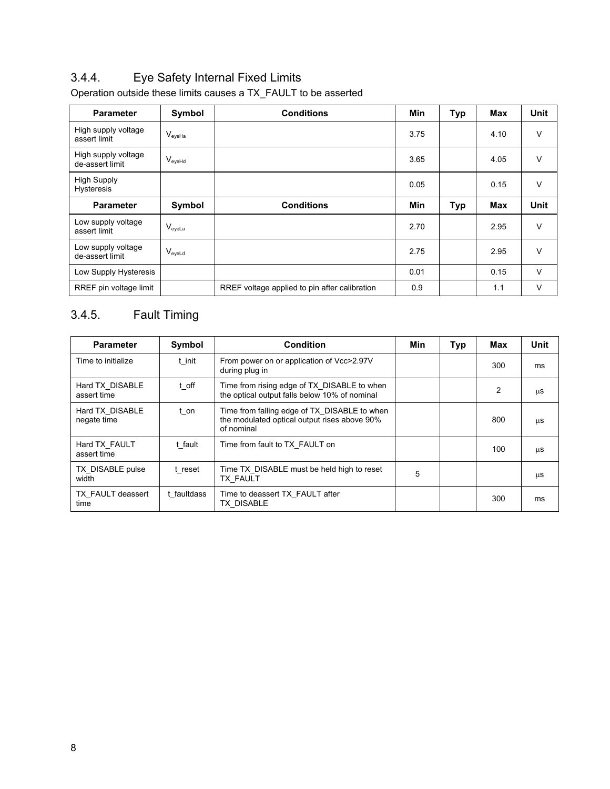### 3.4.4. Eye Safety Internal Fixed Limits

| <b>Parameter</b>                        | Symbol             | <b>Conditions</b>                             | Min        | <b>Typ</b> | Max        | <b>Unit</b> |
|-----------------------------------------|--------------------|-----------------------------------------------|------------|------------|------------|-------------|
| High supply voltage<br>assert limit     | $V_{eyeHa}$        |                                               | 3.75       |            | 4.10       | V           |
| High supply voltage<br>de-assert limit  | V <sub>eyeHd</sub> |                                               | 3.65       |            | 4.05       | $\vee$      |
| <b>High Supply</b><br><b>Hysteresis</b> |                    |                                               | 0.05       |            | 0.15       | $\vee$      |
| <b>Parameter</b>                        | Symbol             | <b>Conditions</b>                             | <b>Min</b> | <b>Typ</b> | <b>Max</b> | <b>Unit</b> |
| Low supply voltage<br>assert limit      | $V_{\text{eyeLa}}$ |                                               | 2.70       |            | 2.95       | $\vee$      |
| Low supply voltage<br>de-assert limit   | V <sub>eveld</sub> |                                               | 2.75       |            | 2.95       | $\vee$      |
| Low Supply Hysteresis                   |                    |                                               | 0.01       |            | 0.15       | $\vee$      |
| RREF pin voltage limit                  |                    | RREF voltage applied to pin after calibration | 0.9        |            | 1.1        | V           |

Operation outside these limits causes a TX\_FAULT to be asserted

### 3.4.5. Fault Timing

| <b>Parameter</b>               | Symbol      | <b>Condition</b>                                                                                           | Min | Typ | Max | Unit |
|--------------------------------|-------------|------------------------------------------------------------------------------------------------------------|-----|-----|-----|------|
| Time to initialize             | t init      | From power on or application of Vcc>2.97V<br>during plug in                                                |     |     | 300 | ms   |
| Hard TX DISABLE<br>assert time | t off       | Time from rising edge of TX DISABLE to when<br>the optical output falls below 10% of nominal               |     |     | 2   | μS   |
| Hard TX_DISABLE<br>negate time | t on        | Time from falling edge of TX DISABLE to when<br>the modulated optical output rises above 90%<br>of nominal |     |     | 800 | μS   |
| Hard TX FAULT<br>assert time   | t fault     | Time from fault to TX FAULT on                                                                             |     |     | 100 | μS   |
| TX DISABLE pulse<br>width      | t reset     | Time TX DISABLE must be held high to reset<br><b>TX FAULT</b>                                              | 5   |     |     | μS   |
| TX FAULT deassert<br>time      | t faultdass | Time to deassert TX FAULT after<br>TX DISABLE                                                              |     |     | 300 | ms   |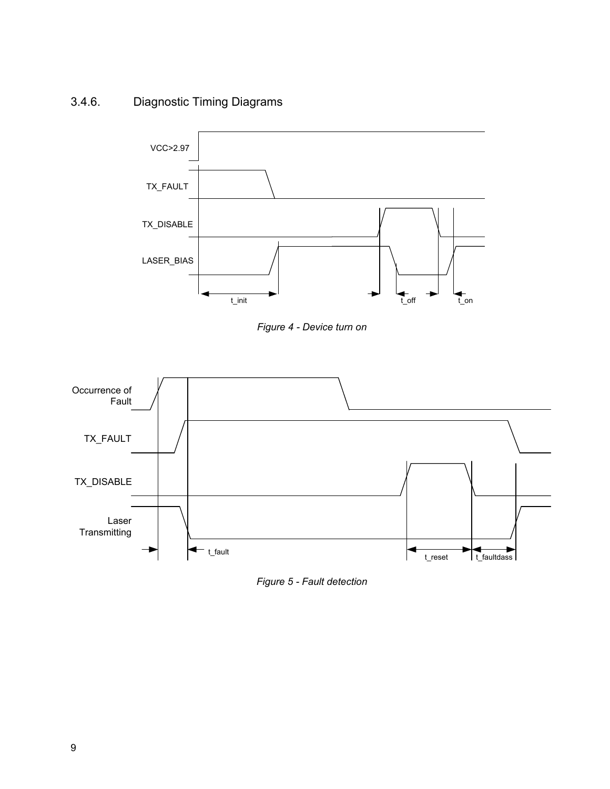3.4.6. Diagnostic Timing Diagrams



*Figure 4 - Device turn on*



*Figure 5 - Fault detection*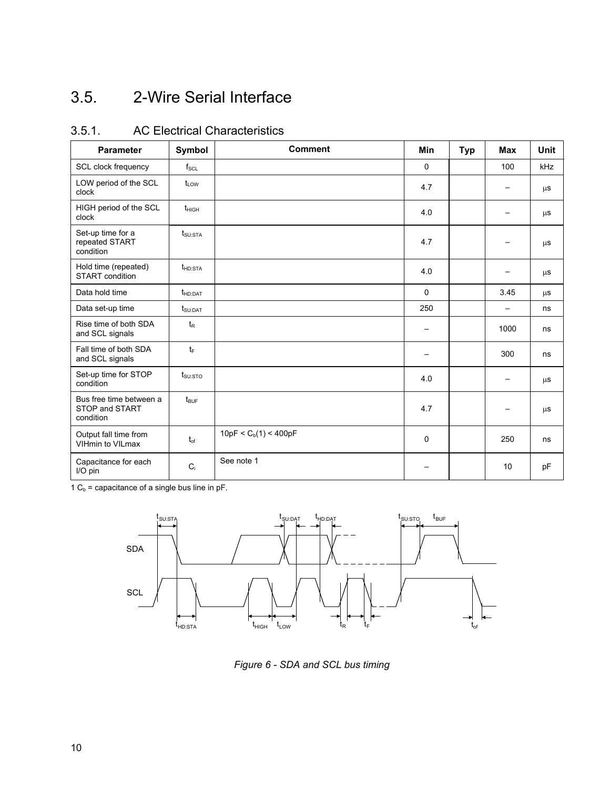## <span id="page-9-0"></span>3.5. 2-Wire Serial Interface

| <b>Parameter</b>                                       | Symbol                          | <b>Comment</b>          | <b>Min</b>  | <b>Typ</b> | <b>Max</b> | <b>Unit</b> |
|--------------------------------------------------------|---------------------------------|-------------------------|-------------|------------|------------|-------------|
| SCL clock frequency                                    | $f_{\rm SCL}$                   |                         | $\mathbf 0$ |            | 100        | <b>kHz</b>  |
| LOW period of the SCL<br>clock                         | $t_{LOW}$                       |                         | 4.7         |            |            | $\mu$ S     |
| HIGH period of the SCL<br>clock                        | $t_{HIGH}$                      |                         | 4.0         |            |            | $\mu$ S     |
| Set-up time for a<br>repeated START<br>condition       | $t_{\scriptstyle\text{SU:STA}}$ |                         | 4.7         |            |            | $\mu$ S     |
| Hold time (repeated)<br><b>START</b> condition         | $t_{HD:STA}$                    |                         | 4.0         |            |            | $\mu$ S     |
| Data hold time                                         | $t_{HD:DAT}$                    |                         | $\Omega$    |            | 3.45       | $\mu$ S     |
| Data set-up time                                       | $t_{\text{SU:DAT}}$             |                         | 250         |            |            | ns          |
| Rise time of both SDA<br>and SCL signals               | $t_{\mathsf{R}}$                |                         |             |            | 1000       | ns          |
| Fall time of both SDA<br>and SCL signals               | $t_F$                           |                         |             |            | 300        | ns          |
| Set-up time for STOP<br>condition                      | $t_{\text{SU:STO}}$             |                         | 4.0         |            |            | $\mu$ S     |
| Bus free time between a<br>STOP and START<br>condition | $t_{\text{BUF}}$                |                         | 4.7         |            |            | $\mu$ S     |
| Output fall time from<br>VIHmin to VILmax              | $t_{of}$                        | 10pF < $C_b(1)$ < 400pF | 0           |            | 250        | ns          |
| Capacitance for each<br>I/O pin                        | $C_i$                           | See note 1              |             |            | 10         | pF          |

3.5.1. AC Electrical Characteristics

1  $C_b$  = capacitance of a single bus line in pF.



*Figure 6 - SDA and SCL bus timing*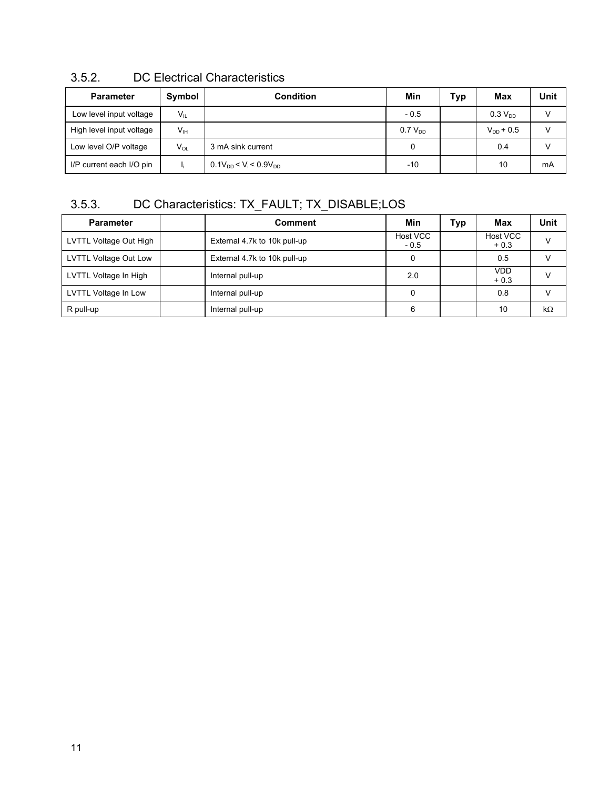| <b>Parameter</b>         | Symbol          | Condition                                         | Min          | Typ | Max                 | <b>Unit</b> |
|--------------------------|-----------------|---------------------------------------------------|--------------|-----|---------------------|-------------|
| Low level input voltage  | $V_{IL}$        |                                                   | $-0.5$       |     | 0.3 V <sub>DD</sub> |             |
| High level input voltage | V <sub>IH</sub> |                                                   | $0.7 V_{DD}$ |     | $V_{DD}$ + 0.5      |             |
| Low level O/P voltage    | $V_{OL}$        | 3 mA sink current                                 |              |     | 0.4                 |             |
| I/P current each I/O pin |                 | $0.1V_{DD}$ < V <sub>i</sub> < 0.9V <sub>DD</sub> | -10          |     | 10                  | mA          |

### 3.5.2. DC Electrical Characteristics

### 3.5.3. DC Characteristics: TX\_FAULT; TX\_DISABLE;LOS

| <b>Parameter</b>       | <b>Comment</b>               | Min                | Typ | Max                  | Unit      |
|------------------------|------------------------------|--------------------|-----|----------------------|-----------|
| LVTTL Voltage Out High | External 4.7k to 10k pull-up | Host VCC<br>$-0.5$ |     | Host VCC<br>$+0.3$   | v         |
| LVTTL Voltage Out Low  | External 4.7k to 10k pull-up | 0                  |     | 0.5                  |           |
| LVTTL Voltage In High  | Internal pull-up             | 2.0                |     | <b>VDD</b><br>$+0.3$ |           |
| LVTTL Voltage In Low   | Internal pull-up             |                    |     | 0.8                  |           |
| R pull-up              | Internal pull-up             | 6                  |     | 10                   | $k\Omega$ |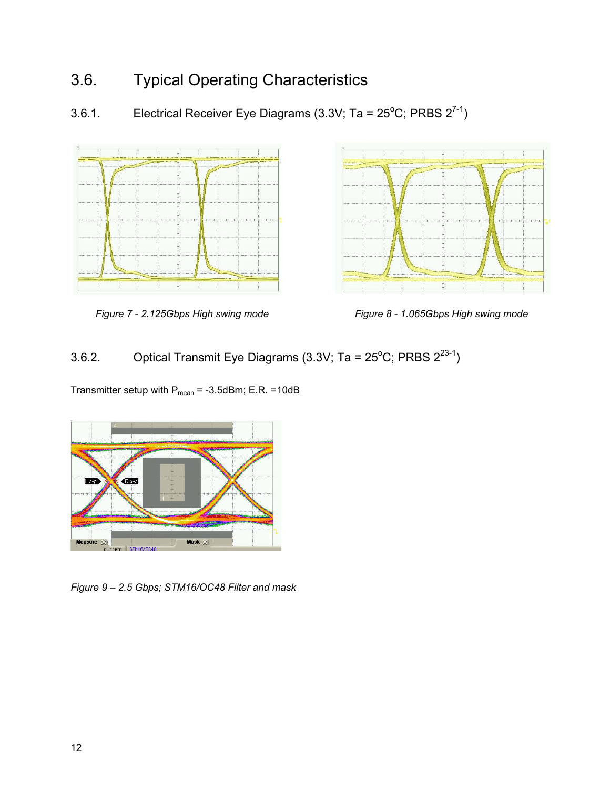## <span id="page-11-0"></span>3.6. Typical Operating Characteristics

3.6.1. Electrical Receiver Eye Diagrams (3.3V; Ta = 25<sup>o</sup>C; PRBS  $2^{7-1}$ )





*Figure 7 - 2.125Gbps High swing mode Figure 8 - 1.065Gbps High swing mode*

### 3.6.2. Optical Transmit Eye Diagrams (3.3V; Ta =  $25^{\circ}$ C; PRBS  $2^{23-1}$ )

Transmitter setup with  $P_{mean} = -3.5$ dBm; E.R. =10dB



*Figure 9 – 2.5 Gbps; STM16/OC48 Filter and mask*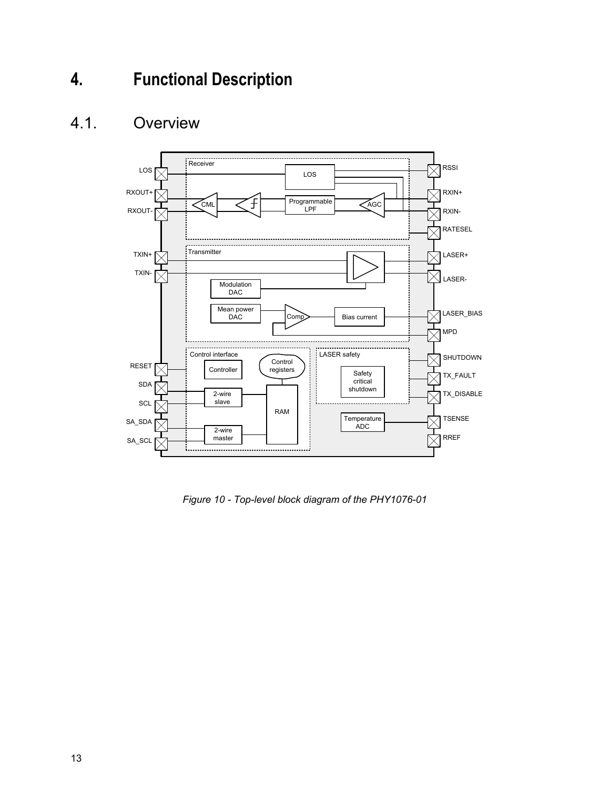# <span id="page-12-0"></span>**4. Functional Description**

### <span id="page-12-1"></span>4.1. Overview



*Figure 10 - Top-level block diagram of the PHY1076-01*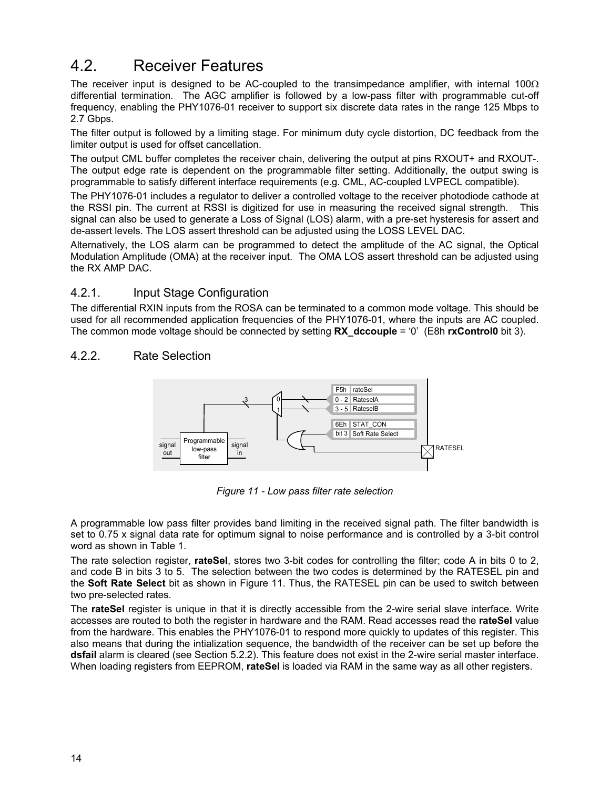### <span id="page-13-0"></span>4.2. Receiver Features

The receiver input is designed to be AC-coupled to the transimpedance amplifier, with internal 100 $\Omega$ differential termination. The AGC amplifier is followed by a low-pass filter with programmable cut-off frequency, enabling the PHY1076-01 receiver to support six discrete data rates in the range 125 Mbps to 2.7 Gbps.

The filter output is followed by a limiting stage. For minimum duty cycle distortion, DC feedback from the limiter output is used for offset cancellation.

The output CML buffer completes the receiver chain, delivering the output at pins RXOUT+ and RXOUT-. The output edge rate is dependent on the programmable filter setting. Additionally, the output swing is programmable to satisfy different interface requirements (e.g. CML, AC-coupled LVPECL compatible).

The PHY1076-01 includes a regulator to deliver a controlled voltage to the receiver photodiode cathode at the RSSI pin. The current at RSSI is digitized for use in measuring the received signal strength. This signal can also be used to generate a Loss of Signal (LOS) alarm, with a pre-set hysteresis for assert and de-assert levels. The LOS assert threshold can be adjusted using the LOSS LEVEL DAC.

Alternatively, the LOS alarm can be programmed to detect the amplitude of the AC signal, the Optical Modulation Amplitude (OMA) at the receiver input. The OMA LOS assert threshold can be adjusted using the RX AMP DAC.

#### 4.2.1. Input Stage Configuration

The differential RXIN inputs from the ROSA can be terminated to a common mode voltage. This should be used for all recommended application frequencies of the PHY1076-01, where the inputs are AC coupled. The common mode voltage should be connected by setting **RX\_dccouple** = '0' (E8h **rxControl0** bit 3).

#### 4.2.2. Rate Selection



*Figure 11 - Low pass filter rate selection*

A programmable low pass filter provides band limiting in the received signal path. The filter bandwidth is set to 0.75 x signal data rate for optimum signal to noise performance and is controlled by a 3-bit control word as shown in Table 1.

The rate selection register, **rateSel**, stores two 3-bit codes for controlling the filter; code A in bits 0 to 2, and code B in bits 3 to 5. The selection between the two codes is determined by the RATESEL pin and the **Soft Rate Select** bit as shown in Figure 11. Thus, the RATESEL pin can be used to switch between two pre-selected rates.

The **rateSel** register is unique in that it is directly accessible from the 2-wire serial slave interface. Write accesses are routed to both the register in hardware and the RAM. Read accesses read the **rateSel** value from the hardware. This enables the PHY1076-01 to respond more quickly to updates of this register. This also means that during the intialization sequence, the bandwidth of the receiver can be set up before the **dsfail** alarm is cleared (see Section 5.2.2). This feature does not exist in the 2-wire serial master interface. When loading registers from EEPROM, **rateSel** is loaded via RAM in the same way as all other registers.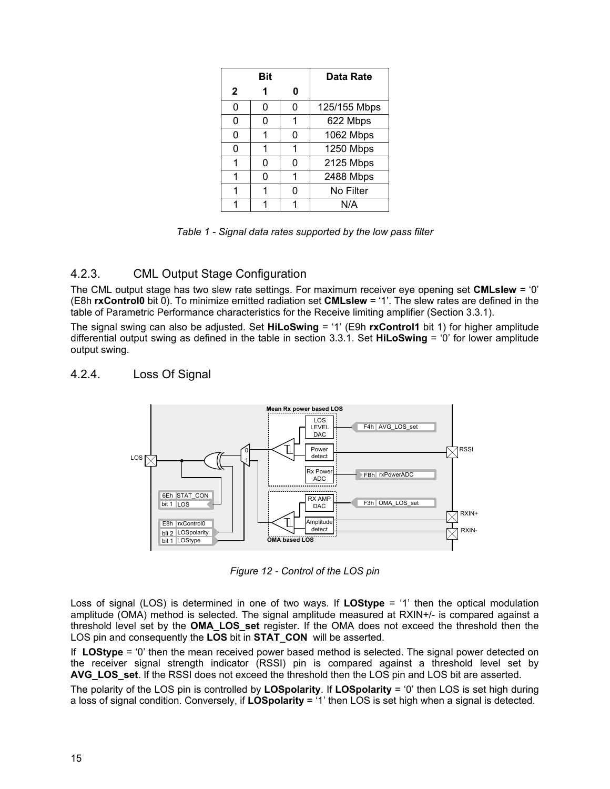|              | Bit |   | Data Rate    |
|--------------|-----|---|--------------|
| $\mathbf{2}$ |     | O |              |
| 0            | 0   | 0 | 125/155 Mbps |
| ი            | 0   |   | 622 Mbps     |
| 0            | 1   | ი | 1062 Mbps    |
| ი            | 1   |   | 1250 Mbps    |
|              | 0   | ი | 2125 Mbps    |
|              | 0   |   | 2488 Mbps    |
|              | 1   |   | No Filter    |
|              |     |   | N/A          |

*Table 1 - Signal data rates supported by the low pass filter*

#### 4.2.3. CML Output Stage Configuration

The CML output stage has two slew rate settings. For maximum receiver eye opening set **CMLslew** = '0' (E8h **rxControl0** bit 0). To minimize emitted radiation set **CMLslew** = '1'. The slew rates are defined in the table of Parametric Performance characteristics for the Receive limiting amplifier (Section 3.3.1).

The signal swing can also be adjusted. Set **HiLoSwing** = '1' (E9h **rxControl1** bit 1) for higher amplitude differential output swing as defined in the table in section 3.3.1. Set **HiLoSwing** = '0' for lower amplitude output swing.

#### 4.2.4. Loss Of Signal



*Figure 12 - Control of the LOS pin*

Loss of signal (LOS) is determined in one of two ways. If **LOStype** = '1' then the optical modulation amplitude (OMA) method is selected. The signal amplitude measured at RXIN+/- is compared against a threshold level set by the **OMA\_LOS\_set** register. If the OMA does not exceed the threshold then the LOS pin and consequently the **LOS** bit in **STAT\_CON** will be asserted.

If **LOStype** = '0' then the mean received power based method is selected. The signal power detected on the receiver signal strength indicator (RSSI) pin is compared against a threshold level set by **AVG\_LOS\_set**. If the RSSI does not exceed the threshold then the LOS pin and LOS bit are asserted.

The polarity of the LOS pin is controlled by **LOSpolarity**. If **LOSpolarity** = '0' then LOS is set high during a loss of signal condition. Conversely, if **LOSpolarity** = '1' then LOS is set high when a signal is detected.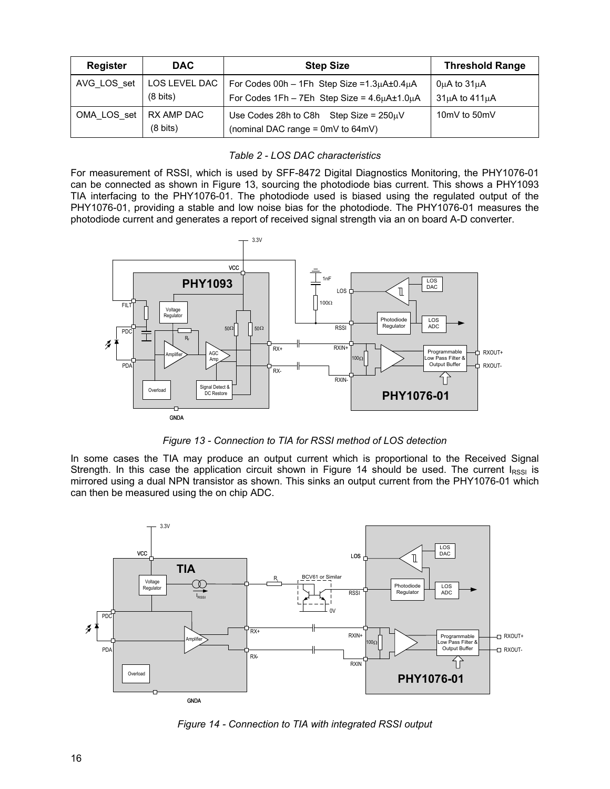| <b>Register</b> | <b>DAC</b>                          | <b>Step Size</b>                                                                                                          | <b>Threshold Range</b>                           |
|-----------------|-------------------------------------|---------------------------------------------------------------------------------------------------------------------------|--------------------------------------------------|
| AVG LOS set     | LOS LEVEL DAC<br>$(8 \text{ bits})$ | For Codes 00h - 1Fh Step Size = $1.3\mu$ A $\pm$ 0.4 $\mu$ A<br>For Codes $1Fh - 7Eh$ Step Size = $4.6\mu A \pm 1.0\mu A$ | $0\mu A$ to $31\mu A$<br>$31\mu$ A to $411\mu$ A |
| OMA LOS set     | RX AMP DAC<br>$(8 \text{ bits})$    | Use Codes 28h to C8h Step Size = $250\mu$ V<br>(nominal DAC range = 0mV to 64mV)                                          | 10mV to 50mV                                     |

For measurement of RSSI, which is used by SFF-8472 Digital Diagnostics Monitoring, the PHY1076-01 can be connected as shown in Figure 13, sourcing the photodiode bias current. This shows a PHY1093 TIA interfacing to the PHY1076-01. The photodiode used is biased using the regulated output of the PHY1076-01, providing a stable and low noise bias for the photodiode. The PHY1076-01 measures the photodiode current and generates a report of received signal strength via an on board A-D converter.



*Figure 13 - Connection to TIA for RSSI method of LOS detection*

In some cases the TIA may produce an output current which is proportional to the Received Signal Strength. In this case the application circuit shown in Figure 14 should be used. The current  $I_{RSSI}$  is mirrored using a dual NPN transistor as shown. This sinks an output current from the PHY1076-01 which can then be measured using the on chip ADC.



*Figure 14 - Connection to TIA with integrated RSSI output*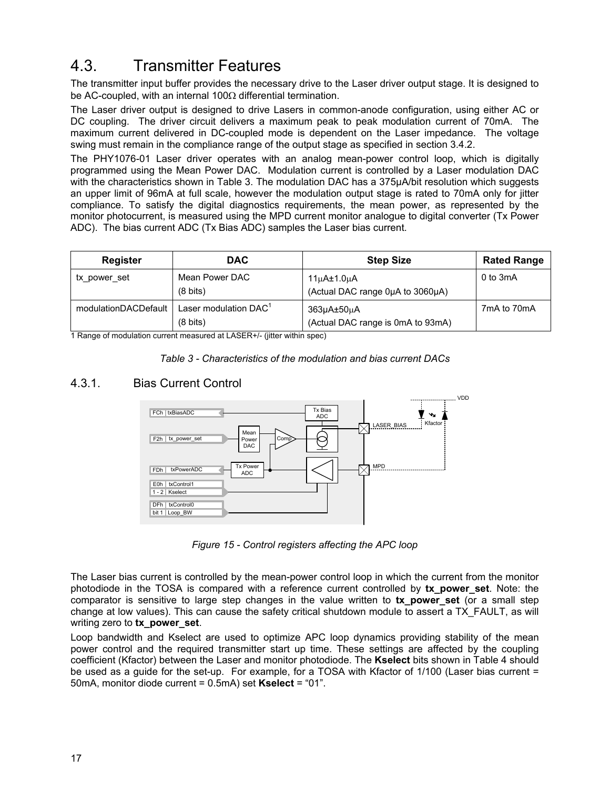### <span id="page-16-0"></span>4.3. Transmitter Features

The transmitter input buffer provides the necessary drive to the Laser driver output stage. It is designed to be AC-coupled, with an internal 100Ω differential termination.

The Laser driver output is designed to drive Lasers in common-anode configuration, using either AC or DC coupling. The driver circuit delivers a maximum peak to peak modulation current of 70mA. The maximum current delivered in DC-coupled mode is dependent on the Laser impedance. The voltage swing must remain in the compliance range of the output stage as specified in section 3.4.2.

The PHY1076-01 Laser driver operates with an analog mean-power control loop, which is digitally programmed using the Mean Power DAC. Modulation current is controlled by a Laser modulation DAC with the characteristics shown in Table 3. The modulation DAC has a 375µA/bit resolution which suggests an upper limit of 96mA at full scale, however the modulation output stage is rated to 70mA only for jitter compliance. To satisfy the digital diagnostics requirements, the mean power, as represented by the monitor photocurrent, is measured using the MPD current monitor analogue to digital converter (Tx Power ADC). The bias current ADC (Tx Bias ADC) samples the Laser bias current.

| <b>Register</b>      | <b>DAC</b>                                              | <b>Step Size</b>                                | <b>Rated Range</b> |
|----------------------|---------------------------------------------------------|-------------------------------------------------|--------------------|
| tx power set         | Mean Power DAC<br>$(8 \text{ bits})$                    | 11µA±1.0µA<br>(Actual DAC range 0µA to 3060µA)  | $0$ to 3mA         |
| modulationDACDefault | Laser modulation DAC <sup>1</sup><br>$(8 \text{ bits})$ | 363µA±50µA<br>(Actual DAC range is 0mA to 93mA) | 7mA to 70mA        |

1 Range of modulation current measured at LASER+/- (jitter within spec)



#### 4.3.1. Bias Current Control



*Figure 15 - Control registers affecting the APC loop*

The Laser bias current is controlled by the mean-power control loop in which the current from the monitor photodiode in the TOSA is compared with a reference current controlled by **tx\_power\_set**. Note: the comparator is sensitive to large step changes in the value written to **tx\_power\_set** (or a small step change at low values). This can cause the safety critical shutdown module to assert a TX\_FAULT, as will writing zero to **tx\_power\_set**.

Loop bandwidth and Kselect are used to optimize APC loop dynamics providing stability of the mean power control and the required transmitter start up time. These settings are affected by the coupling coefficient (Kfactor) between the Laser and monitor photodiode. The **Kselect** bits shown in Table 4 should be used as a guide for the set-up. For example, for a TOSA with Kfactor of 1/100 (Laser bias current = 50mA, monitor diode current = 0.5mA) set **Kselect** = "01".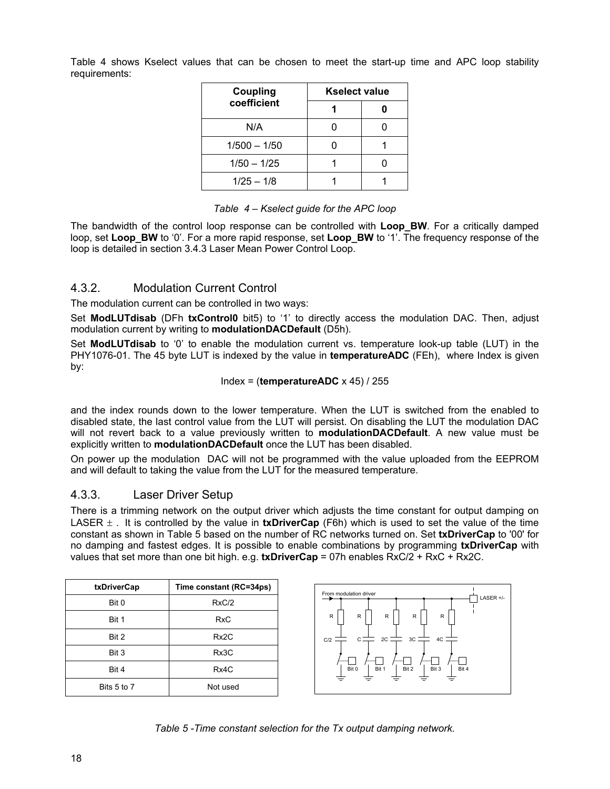Table 4 shows Kselect values that can be chosen to meet the start-up time and APC loop stability requirements:

| Coupling       | <b>Kselect value</b> |  |  |
|----------------|----------------------|--|--|
| coefficient    |                      |  |  |
| N/A            |                      |  |  |
| $1/500 - 1/50$ |                      |  |  |
| $1/50 - 1/25$  |                      |  |  |
| $1/25 - 1/8$   |                      |  |  |

#### *Table 4 – Kselect guide for the APC loop*

The bandwidth of the control loop response can be controlled with **Loop BW**. For a critically damped loop, set **Loop\_BW** to '0'. For a more rapid response, set **Loop\_BW** to '1'. The frequency response of the loop is detailed in section 3.4.3 Laser Mean Power Control Loop.

#### 4.3.2. Modulation Current Control

The modulation current can be controlled in two ways:

Set **ModLUTdisab** (DFh **txControl0** bit5) to '1' to directly access the modulation DAC. Then, adjust modulation current by writing to **modulationDACDefault** (D5h).

Set **ModLUTdisab** to '0' to enable the modulation current vs. temperature look-up table (LUT) in the PHY1076-01. The 45 byte LUT is indexed by the value in **temperatureADC** (FEh), where Index is given by:

$$
Index = (temperatureADC × 45) / 255
$$

and the index rounds down to the lower temperature. When the LUT is switched from the enabled to disabled state, the last control value from the LUT will persist. On disabling the LUT the modulation DAC will not revert back to a value previously written to **modulationDACDefault**. A new value must be explicitly written to **modulationDACDefault** once the LUT has been disabled.

On power up the modulation DAC will not be programmed with the value uploaded from the EEPROM and will default to taking the value from the LUT for the measured temperature.

#### 4.3.3. Laser Driver Setup

There is a trimming network on the output driver which adjusts the time constant for output damping on LASER  $\pm$ . It is controlled by the value in **txDriverCap** (F6h) which is used to set the value of the time constant as shown in Table 5 based on the number of RC networks turned on. Set **txDriverCap** to '00' for no damping and fastest edges. It is possible to enable combinations by programming **txDriverCap** with values that set more than one bit high. e.g. **txDriverCap** = 07h enables RxC/2 + RxC + Rx2C.

| txDriverCap | Time constant (RC=34ps) |
|-------------|-------------------------|
| Bit 0       | RxC/2                   |
| Bit 1       | <b>RxC</b>              |
| Bit 2       | Rx <sub>2</sub> C       |
| Bit 3       | Rx3C                    |
| Bit 4       | Rx4C                    |
| Bits 5 to 7 | Not used                |



*Table 5 -Time constant selection for the Tx output damping network.*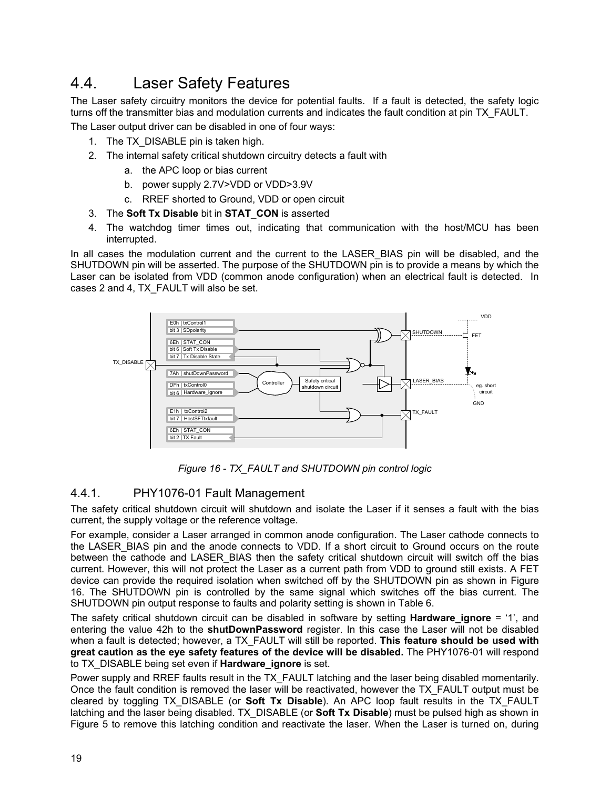## <span id="page-18-0"></span>4.4. Laser Safety Features

The Laser safety circuitry monitors the device for potential faults. If a fault is detected, the safety logic turns off the transmitter bias and modulation currents and indicates the fault condition at pin TX\_FAULT.

The Laser output driver can be disabled in one of four ways:

- 1. The TX DISABLE pin is taken high.
- 2. The internal safety critical shutdown circuitry detects a fault with
	- a. the APC loop or bias current
	- b. power supply 2.7V>VDD or VDD>3.9V
	- c. RREF shorted to Ground, VDD or open circuit
- 3. The **Soft Tx Disable** bit in **STAT\_CON** is asserted
- 4. The watchdog timer times out, indicating that communication with the host/MCU has been interrupted.

In all cases the modulation current and the current to the LASER\_BIAS pin will be disabled, and the SHUTDOWN pin will be asserted. The purpose of the SHUTDOWN pin is to provide a means by which the Laser can be isolated from VDD (common anode configuration) when an electrical fault is detected. In cases 2 and 4, TX\_FAULT will also be set.



*Figure 16 - TX\_FAULT and SHUTDOWN pin control logic*

#### 4.4.1. PHY1076-01 Fault Management

The safety critical shutdown circuit will shutdown and isolate the Laser if it senses a fault with the bias current, the supply voltage or the reference voltage.

For example, consider a Laser arranged in common anode configuration. The Laser cathode connects to the LASER\_BIAS pin and the anode connects to VDD. If a short circuit to Ground occurs on the route between the cathode and LASER BIAS then the safety critical shutdown circuit will switch off the bias current. However, this will not protect the Laser as a current path from VDD to ground still exists. A FET device can provide the required isolation when switched off by the SHUTDOWN pin as shown in Figure 16. The SHUTDOWN pin is controlled by the same signal which switches off the bias current. The SHUTDOWN pin output response to faults and polarity setting is shown in Table 6.

The safety critical shutdown circuit can be disabled in software by setting **Hardware\_ignore** = '1', and entering the value 42h to the **shutDownPassword** register. In this case the Laser will not be disabled when a fault is detected; however, a TX\_FAULT will still be reported. **This feature should be used with great caution as the eye safety features of the device will be disabled.** The PHY1076-01 will respond to TX\_DISABLE being set even if **Hardware\_ignore** is set.

Power supply and RREF faults result in the TX FAULT latching and the laser being disabled momentarily. Once the fault condition is removed the laser will be reactivated, however the TX\_FAULT output must be cleared by toggling TX\_DISABLE (or **Soft Tx Disable**). An APC loop fault results in the TX\_FAULT latching and the laser being disabled. TX\_DISABLE (or **Soft Tx Disable**) must be pulsed high as shown in Figure 5 to remove this latching condition and reactivate the laser. When the Laser is turned on, during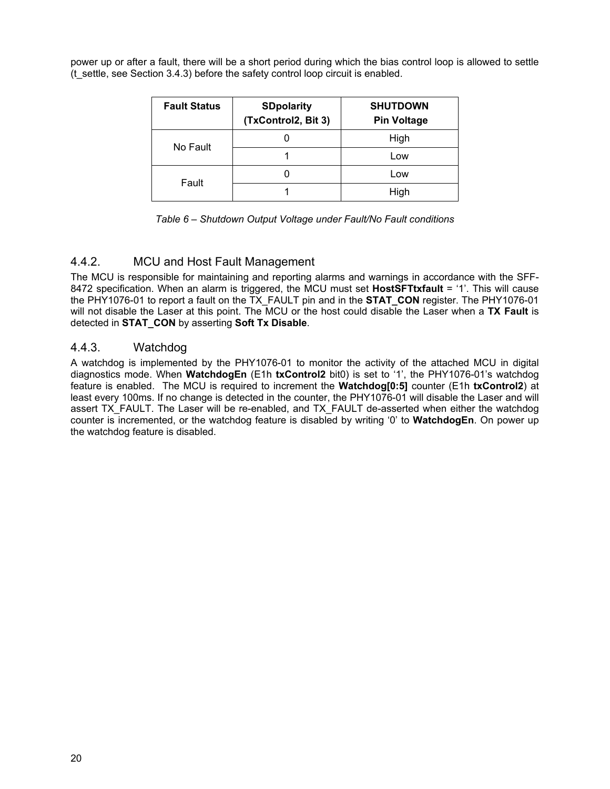power up or after a fault, there will be a short period during which the bias control loop is allowed to settle (t\_settle, see Section 3.4.3) before the safety control loop circuit is enabled.

| <b>Fault Status</b> | <b>SDpolarity</b><br>(TxControl2, Bit 3) | <b>SHUTDOWN</b><br><b>Pin Voltage</b> |
|---------------------|------------------------------------------|---------------------------------------|
| No Fault            |                                          | High                                  |
|                     |                                          | Low                                   |
| Fault               |                                          | Low                                   |
|                     |                                          | High                                  |

| Table 6 - Shutdown Output Voltage under Fault/No Fault conditions |  |  |
|-------------------------------------------------------------------|--|--|
|-------------------------------------------------------------------|--|--|

#### 4.4.2. MCU and Host Fault Management

The MCU is responsible for maintaining and reporting alarms and warnings in accordance with the SFF-8472 specification. When an alarm is triggered, the MCU must set **HostSFTtxfault** = '1'. This will cause the PHY1076-01 to report a fault on the TX\_FAULT pin and in the **STAT\_CON** register. The PHY1076-01 will not disable the Laser at this point. The MCU or the host could disable the Laser when a **TX Fault** is detected in **STAT\_CON** by asserting **Soft Tx Disable**.

#### 4.4.3. Watchdog

A watchdog is implemented by the PHY1076-01 to monitor the activity of the attached MCU in digital diagnostics mode. When **WatchdogEn** (E1h **txControl2** bit0) is set to '1', the PHY1076-01's watchdog feature is enabled. The MCU is required to increment the **Watchdog[0:5]** counter (E1h **txControl2**) at least every 100ms. If no change is detected in the counter, the PHY1076-01 will disable the Laser and will assert TX\_FAULT. The Laser will be re-enabled, and TX\_FAULT de-asserted when either the watchdog counter is incremented, or the watchdog feature is disabled by writing '0' to **WatchdogEn**. On power up the watchdog feature is disabled.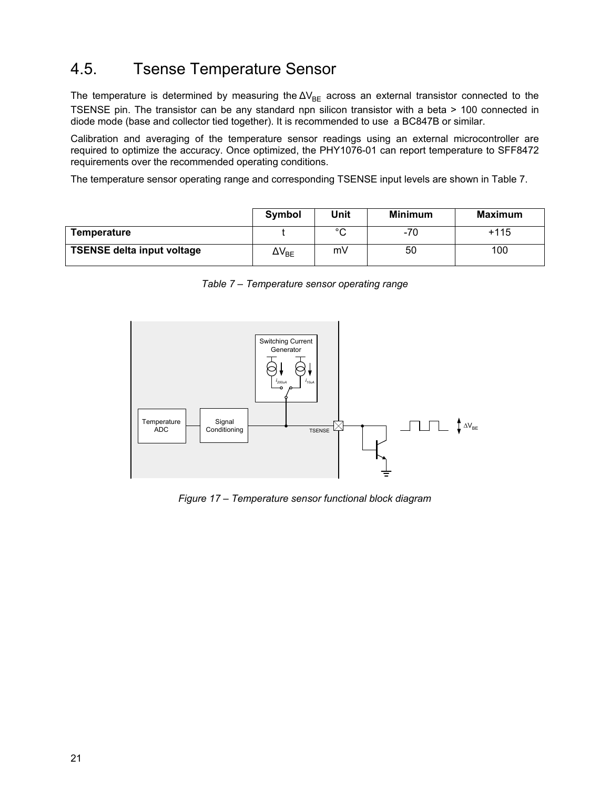## <span id="page-20-0"></span>4.5. Tsense Temperature Sensor

The temperature is determined by measuring the  $\Delta V_{BE}$  across an external transistor connected to the TSENSE pin. The transistor can be any standard npn silicon transistor with a beta > 100 connected in diode mode (base and collector tied together). It is recommended to use a BC847B or similar.

Calibration and averaging of the temperature sensor readings using an external microcontroller are required to optimize the accuracy. Once optimized, the PHY1076-01 can report temperature to SFF8472 requirements over the recommended operating conditions.

The temperature sensor operating range and corresponding TSENSE input levels are shown in Table 7.

|                                   | Symbol                           | Unit   | <b>Minimum</b> | Maximum |
|-----------------------------------|----------------------------------|--------|----------------|---------|
| Temperature                       |                                  | $\sim$ | -70            | $+115$  |
| <b>TSENSE delta input voltage</b> | $\Delta\mathsf{V}_{\mathsf{BE}}$ | mV     | 50             | 100     |

*Table 7 – Temperature sensor operating range*



*Figure 17 – Temperature sensor functional block diagram*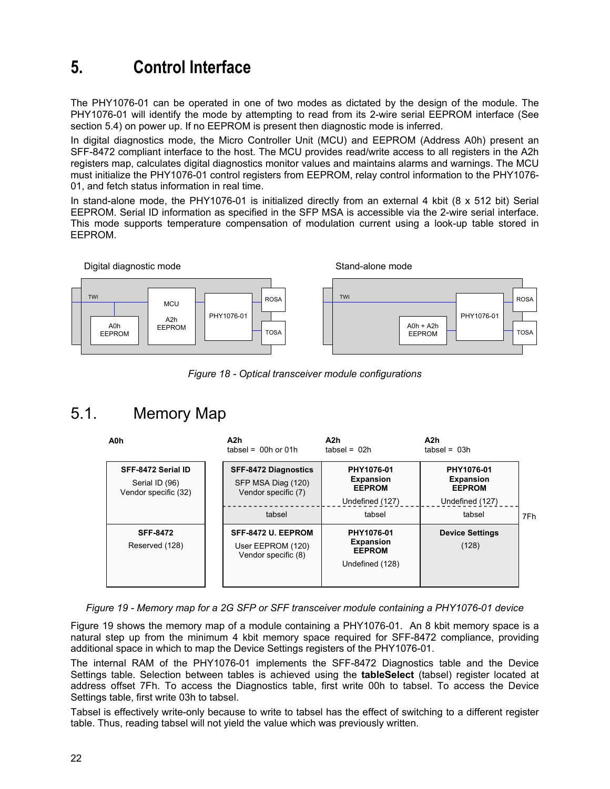## <span id="page-21-0"></span>**5. Control Interface**

The PHY1076-01 can be operated in one of two modes as dictated by the design of the module. The PHY1076-01 will identify the mode by attempting to read from its 2-wire serial EEPROM interface (See section 5.4) on power up. If no EEPROM is present then diagnostic mode is inferred.

In digital diagnostics mode, the Micro Controller Unit (MCU) and EEPROM (Address A0h) present an SFF-8472 compliant interface to the host. The MCU provides read/write access to all registers in the A2h registers map, calculates digital diagnostics monitor values and maintains alarms and warnings. The MCU must initialize the PHY1076-01 control registers from EEPROM, relay control information to the PHY1076- 01, and fetch status information in real time.

In stand-alone mode, the PHY1076-01 is initialized directly from an external 4 kbit (8 x 512 bit) Serial EEPROM. Serial ID information as specified in the SFP MSA is accessible via the 2-wire serial interface. This mode supports temperature compensation of modulation current using a look-up table stored in EEPROM.



*Figure 18 - Optical transceiver module configurations*

## <span id="page-21-1"></span>5.1. Memory Map

| A0h                                                          | A2h<br>tabsel = $00h$ or $01h$                                    | A2h<br>$tabsel = 02h$                                              | A2h<br>$tabsel = 03h$                                              |     |
|--------------------------------------------------------------|-------------------------------------------------------------------|--------------------------------------------------------------------|--------------------------------------------------------------------|-----|
| SFF-8472 Serial ID<br>Serial ID (96)<br>Vendor specific (32) | SFF-8472 Diagnostics<br>SFP MSA Diag (120)<br>Vendor specific (7) | PHY1076-01<br><b>Expansion</b><br><b>EEPROM</b><br>Undefined (127) | PHY1076-01<br><b>Expansion</b><br><b>EEPROM</b><br>Undefined (127) |     |
|                                                              | tabsel                                                            | tabsel                                                             | tabsel                                                             | 7Fh |
| <b>SFF-8472</b><br>Reserved (128)                            | SFF-8472 U. EEPROM<br>User EEPROM (120)<br>Vendor specific (8)    | PHY1076-01<br><b>Expansion</b><br><b>EEPROM</b><br>Undefined (128) | <b>Device Settings</b><br>(128)                                    |     |

*Figure 19 - Memory map for a 2G SFP or SFF transceiver module containing a PHY1076-01 device*

Figure 19 shows the memory map of a module containing a PHY1076-01. An 8 kbit memory space is a natural step up from the minimum 4 kbit memory space required for SFF-8472 compliance, providing additional space in which to map the Device Settings registers of the PHY1076-01.

The internal RAM of the PHY1076-01 implements the SFF-8472 Diagnostics table and the Device Settings table. Selection between tables is achieved using the **tableSelect** (tabsel) register located at address offset 7Fh. To access the Diagnostics table, first write 00h to tabsel. To access the Device Settings table, first write 03h to tabsel.

Tabsel is effectively write-only because to write to tabsel has the effect of switching to a different register table. Thus, reading tabsel will not yield the value which was previously written.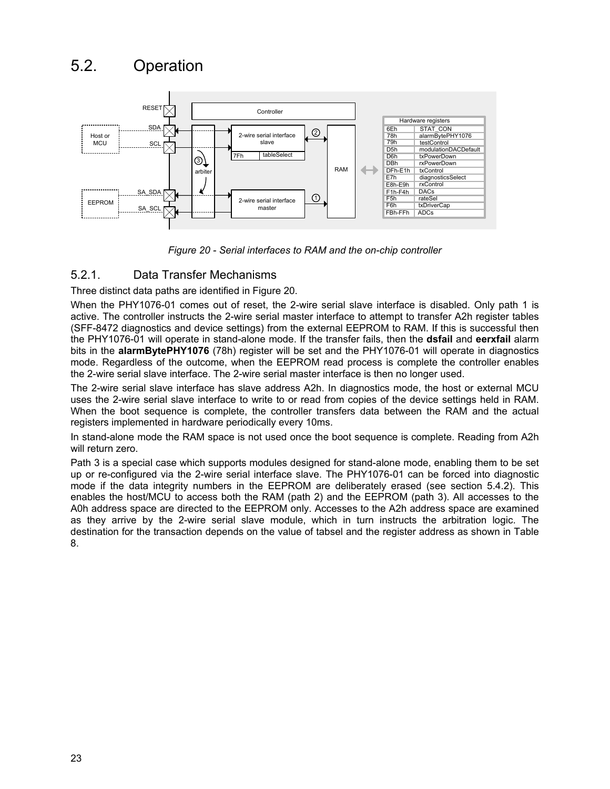### <span id="page-22-0"></span>5.2. Operation



*Figure 20 - Serial interfaces to RAM and the on-chip controller*

#### 5.2.1. Data Transfer Mechanisms

Three distinct data paths are identified in Figure 20.

When the PHY1076-01 comes out of reset, the 2-wire serial slave interface is disabled. Only path 1 is active. The controller instructs the 2-wire serial master interface to attempt to transfer A2h register tables (SFF-8472 diagnostics and device settings) from the external EEPROM to RAM. If this is successful then the PHY1076-01 will operate in stand-alone mode. If the transfer fails, then the **dsfail** and **eerxfail** alarm bits in the **alarmBytePHY1076** (78h) register will be set and the PHY1076-01 will operate in diagnostics mode. Regardless of the outcome, when the EEPROM read process is complete the controller enables the 2-wire serial slave interface. The 2-wire serial master interface is then no longer used.

The 2-wire serial slave interface has slave address A2h. In diagnostics mode, the host or external MCU uses the 2-wire serial slave interface to write to or read from copies of the device settings held in RAM. When the boot sequence is complete, the controller transfers data between the RAM and the actual registers implemented in hardware periodically every 10ms.

In stand-alone mode the RAM space is not used once the boot sequence is complete. Reading from A2h will return zero.

Path 3 is a special case which supports modules designed for stand-alone mode, enabling them to be set up or re-configured via the 2-wire serial interface slave. The PHY1076-01 can be forced into diagnostic mode if the data integrity numbers in the EEPROM are deliberately erased (see section 5.4.2). This enables the host/MCU to access both the RAM (path 2) and the EEPROM (path 3). All accesses to the A0h address space are directed to the EEPROM only. Accesses to the A2h address space are examined as they arrive by the 2-wire serial slave module, which in turn instructs the arbitration logic. The destination for the transaction depends on the value of tabsel and the register address as shown in Table 8.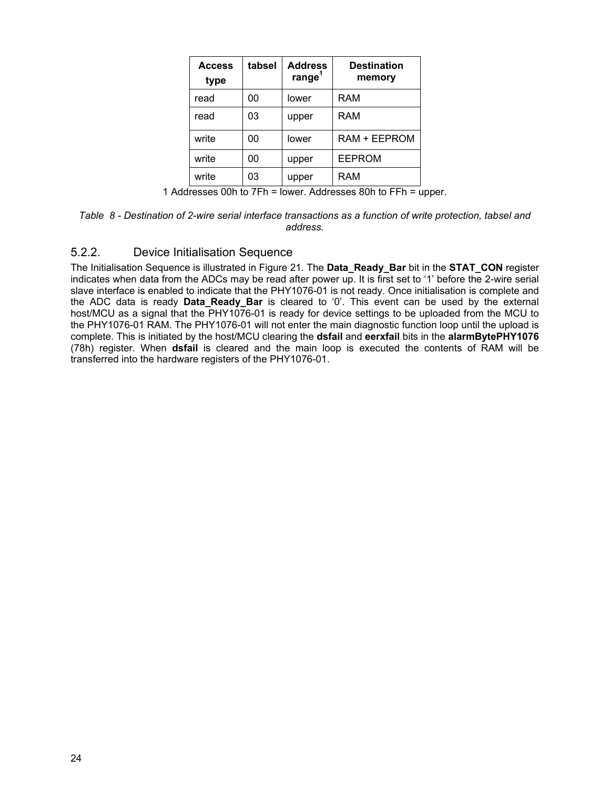| <b>Access</b><br>type | tabsel | <b>Address</b><br>range <sup>1</sup> | <b>Destination</b><br>memory |
|-----------------------|--------|--------------------------------------|------------------------------|
| read                  | 00     | lower                                | RAM                          |
| read                  | 03     | upper                                | RAM                          |
| write                 | 00     | lower                                | RAM + EEPROM                 |
| write                 | 00     | upper                                | <b>EEPROM</b>                |
| write                 | 03     | upper                                | RAM                          |

1 Addresses 00h to 7Fh = lower. Addresses 80h to FFh = upper.

*Table 8 - Destination of 2-wire serial interface transactions as a function of write protection, tabsel and address.*

#### 5.2.2. Device Initialisation Sequence

The Initialisation Sequence is illustrated in Figure 21. The **Data\_Ready\_Bar** bit in the **STAT\_CON** register indicates when data from the ADCs may be read after power up. It is first set to '1' before the 2-wire serial slave interface is enabled to indicate that the PHY1076-01 is not ready. Once initialisation is complete and the ADC data is ready **Data\_Ready\_Bar** is cleared to '0'. This event can be used by the external host/MCU as a signal that the PHY1076-01 is ready for device settings to be uploaded from the MCU to the PHY1076-01 RAM. The PHY1076-01 will not enter the main diagnostic function loop until the upload is complete. This is initiated by the host/MCU clearing the **dsfail** and **eerxfail** bits in the **alarmBytePHY1076** (78h) register. When **dsfail** is cleared and the main loop is executed the contents of RAM will be transferred into the hardware registers of the PHY1076-01.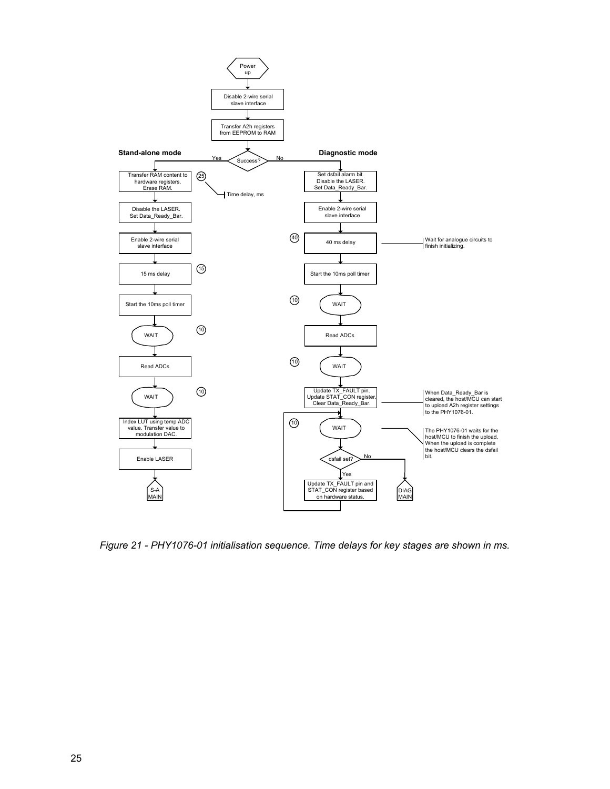

*Figure 21 - PHY1076-01 initialisation sequence. Time delays for key stages are shown in ms.*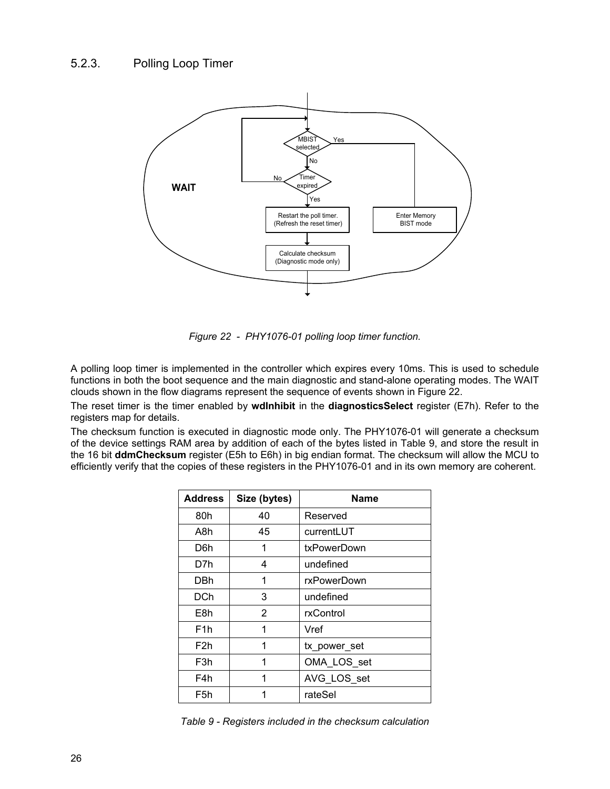### 5.2.3. Polling Loop Timer



*Figure 22 - PHY1076-01 polling loop timer function.*

A polling loop timer is implemented in the controller which expires every 10ms. This is used to schedule functions in both the boot sequence and the main diagnostic and stand-alone operating modes. The WAIT clouds shown in the flow diagrams represent the sequence of events shown in Figure 22.

The reset timer is the timer enabled by **wdInhibit** in the **diagnosticsSelect** register (E7h). Refer to the registers map for details.

The checksum function is executed in diagnostic mode only. The PHY1076-01 will generate a checksum of the device settings RAM area by addition of each of the bytes listed in Table 9, and store the result in the 16 bit **ddmChecksum** register (E5h to E6h) in big endian format. The checksum will allow the MCU to efficiently verify that the copies of these registers in the PHY1076-01 and in its own memory are coherent.

| <b>Address</b>   | Size (bytes) | <b>Name</b>  |
|------------------|--------------|--------------|
| 80h              | 40           | Reserved     |
| A8h              | 45           | currentLUT   |
| D6h              | 1            | txPowerDown  |
| D7h              | 4            | undefined    |
| DBh              | 1            | rxPowerDown  |
| <b>DCh</b>       | 3            | undefined    |
| E8h              | 2            | rxControl    |
| F <sub>1</sub> h | 1            | Vref         |
| F <sub>2</sub> h | 1            | tx_power_set |
| F3h              | 1            | OMA LOS set  |
| F4h              | 1            | AVG_LOS_set  |
| F5h              | 1            | rateSel      |

*Table 9 - Registers included in the checksum calculation*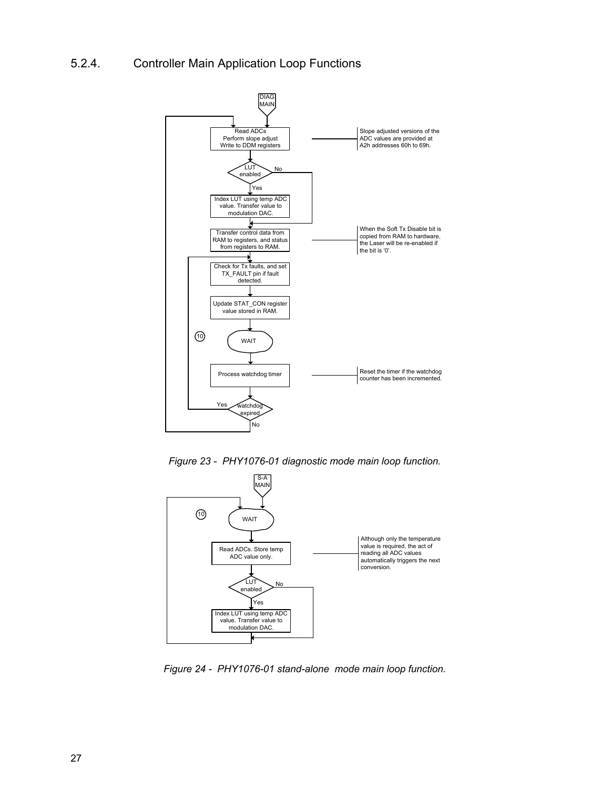### 5.2.4. Controller Main Application Loop Functions



*Figure 23 - PHY1076-01 diagnostic mode main loop function.*



*Figure 24 - PHY1076-01 stand-alone mode main loop function.*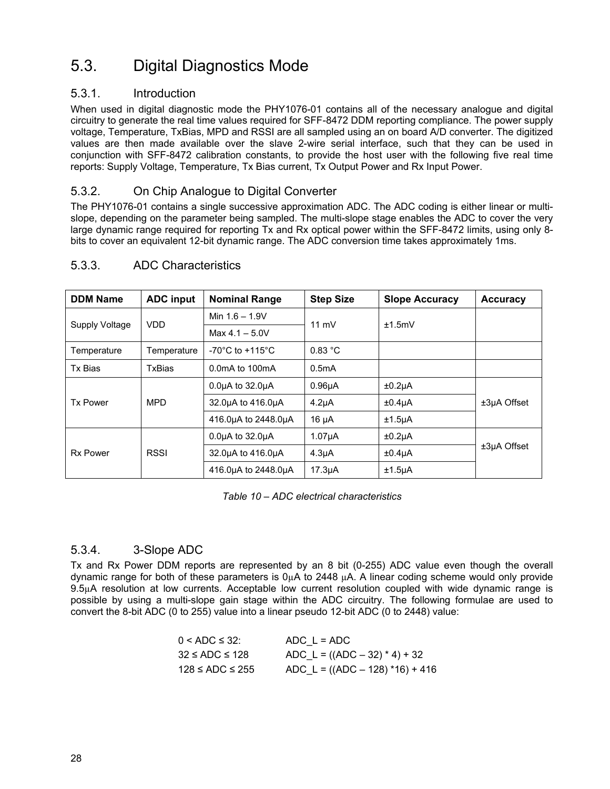## <span id="page-27-0"></span>5.3. Digital Diagnostics Mode

#### 5.3.1. Introduction

When used in digital diagnostic mode the PHY1076-01 contains all of the necessary analogue and digital circuitry to generate the real time values required for SFF-8472 DDM reporting compliance. The power supply voltage, Temperature, TxBias, MPD and RSSI are all sampled using an on board A/D converter. The digitized values are then made available over the slave 2-wire serial interface, such that they can be used in conjunction with SFF-8472 calibration constants, to provide the host user with the following five real time reports: Supply Voltage, Temperature, Tx Bias current, Tx Output Power and Rx Input Power.

#### 5.3.2. On Chip Analogue to Digital Converter

The PHY1076-01 contains a single successive approximation ADC. The ADC coding is either linear or multislope, depending on the parameter being sampled. The multi-slope stage enables the ADC to cover the very large dynamic range required for reporting Tx and Rx optical power within the SFF-8472 limits, using only 8 bits to cover an equivalent 12-bit dynamic range. The ADC conversion time takes approximately 1ms.

| <b>DDM Name</b> | <b>ADC input</b> | <b>Nominal Range</b>                  | <b>Step Size</b>    | <b>Slope Accuracy</b> | <b>Accuracy</b> |
|-----------------|------------------|---------------------------------------|---------------------|-----------------------|-----------------|
|                 | <b>VDD</b>       | Min $1.6 - 1.9V$                      |                     | ±1.5mV                |                 |
| Supply Voltage  |                  | $Max 4.1 - 5.0V$                      | 11 $mV$             |                       |                 |
| Temperature     | Temperature      | -70 $^{\circ}$ C to +115 $^{\circ}$ C | 0.83 °C             |                       |                 |
| Tx Bias         | TxBias           | 0.0 mA to 100 mA                      | 0.5 <sub>m</sub> A  |                       |                 |
|                 |                  | $0.0\mu A$ to $32.0\mu A$             | 0.96 <sub>µ</sub> A | $±0.2\mu A$           |                 |
| <b>Tx Power</b> | <b>MPD</b>       | 32.0uA to 416.0uA                     | 4.2 <sub>µ</sub> A  | ±0.4 <sub>µ</sub> A   | $±3µA$ Offset   |
|                 |                  | 416.0uA to 2448.0uA                   | 16 µA               | $±1.5\mu A$           |                 |
|                 |                  | $0.0\mu A$ to 32.0 $\mu A$            | 1.07 <sub>µ</sub> A | $±0.2\mu A$           |                 |
| <b>Rx Power</b> | <b>RSSI</b>      | 32.0uA to 416.0uA                     | 4.3 <sub>µ</sub> A  | $±0.4\mu A$           | $±3µA$ Offset   |
|                 |                  | 416.0uA to 2448.0uA                   | 17.3 <sub>µ</sub>   | $±1.5\mu A$           |                 |

#### 5.3.3. ADC Characteristics

*Table 10 – ADC electrical characteristics*

#### 5.3.4. 3-Slope ADC

Tx and Rx Power DDM reports are represented by an 8 bit (0-255) ADC value even though the overall dynamic range for both of these parameters is  $0<sub>µ</sub>A$  to 2448  $<sub>µ</sub>A$ . A linear coding scheme would only provide</sub> 9.5µA resolution at low currents. Acceptable low current resolution coupled with wide dynamic range is possible by using a multi-slope gain stage within the ADC circuitry. The following formulae are used to convert the 8-bit ADC (0 to 255) value into a linear pseudo 12-bit ADC (0 to 2448) value:

| $0 <$ ADC $\leq$ 32:  | ADC $L = ADC$                      |
|-----------------------|------------------------------------|
| $32 \le ADC \le 128$  | ADC L = $((ADC – 32) * 4) + 32$    |
| $128 \le ADC \le 255$ | ADC L = $((ADC – 128) * 16) + 416$ |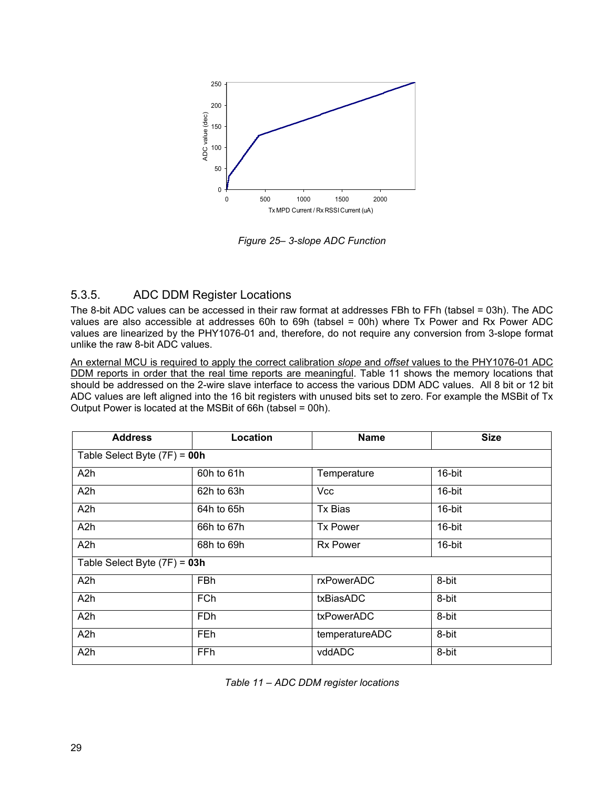

*Figure 25– 3-slope ADC Function*

#### 5.3.5. ADC DDM Register Locations

The 8-bit ADC values can be accessed in their raw format at addresses FBh to FFh (tabsel = 03h). The ADC values are also accessible at addresses 60h to 69h (tabsel = 00h) where Tx Power and Rx Power ADC values are linearized by the PHY1076-01 and, therefore, do not require any conversion from 3-slope format unlike the raw 8-bit ADC values.

An external MCU is required to apply the correct calibration *slope* and *offset* values to the PHY1076-01 ADC DDM reports in order that the real time reports are meaningful. Table 11 shows the memory locations that should be addressed on the 2-wire slave interface to access the various DDM ADC values. All 8 bit or 12 bit ADC values are left aligned into the 16 bit registers with unused bits set to zero. For example the MSBit of Tx Output Power is located at the MSBit of 66h (tabsel = 00h).

| <b>Address</b>                 | Location                       | <b>Name</b>     | <b>Size</b> |  |  |
|--------------------------------|--------------------------------|-----------------|-------------|--|--|
|                                | Table Select Byte $(7F) = 00h$ |                 |             |  |  |
| A2h                            | 60h to 61h                     | Temperature     | 16-bit      |  |  |
| A <sub>2</sub> h               | 62h to 63h                     | <b>Vcc</b>      | 16-bit      |  |  |
| A <sub>2</sub> h               | 64h to 65h                     | <b>Tx Bias</b>  | 16-bit      |  |  |
| A2h                            | 66h to 67h                     | <b>Tx Power</b> | 16-bit      |  |  |
| A <sub>2</sub> h               | 68h to 69h                     | <b>Rx Power</b> | 16-bit      |  |  |
| Table Select Byte $(7F) = 03h$ |                                |                 |             |  |  |
| A <sub>2</sub> h               | <b>FBh</b>                     | rxPowerADC      | 8-bit       |  |  |
| A <sub>2</sub> h               | <b>FCh</b>                     | txBiasADC       | 8-bit       |  |  |
| A <sub>2</sub> h               | <b>FDh</b>                     | txPowerADC      | 8-bit       |  |  |
| A <sub>2</sub> h               | <b>FEh</b>                     | temperatureADC  | 8-bit       |  |  |
| A <sub>2</sub> h               | FFh                            | vddADC          | 8-bit       |  |  |

*Table 11 – ADC DDM register locations*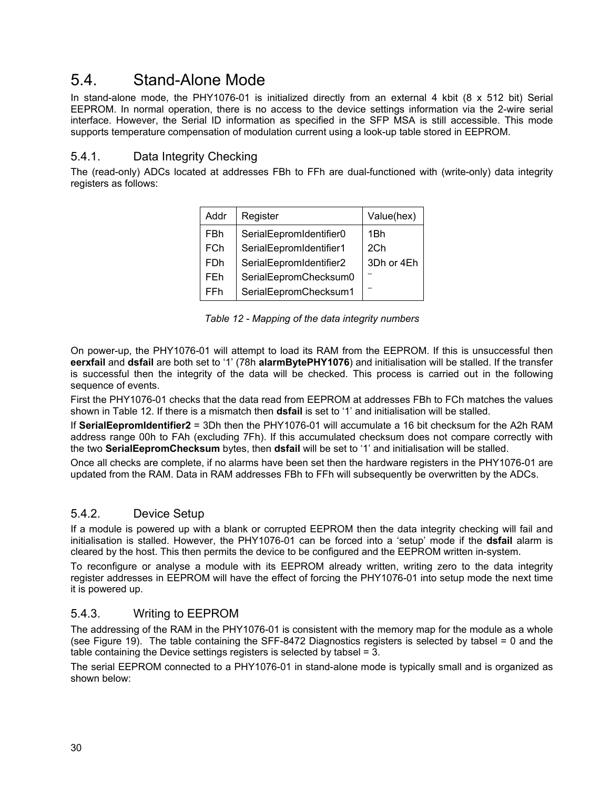### <span id="page-29-0"></span>5.4. Stand-Alone Mode

In stand-alone mode, the PHY1076-01 is initialized directly from an external 4 kbit (8 x 512 bit) Serial EEPROM. In normal operation, there is no access to the device settings information via the 2-wire serial interface. However, the Serial ID information as specified in the SFP MSA is still accessible. This mode supports temperature compensation of modulation current using a look-up table stored in EEPROM.

#### 5.4.1. Data Integrity Checking

The (read-only) ADCs located at addresses FBh to FFh are dual-functioned with (write-only) data integrity registers as follows:

| Addr       | Register                | Value(hex)      |
|------------|-------------------------|-----------------|
| FBh        | SerialEepromIdentifier0 | 1Bh             |
| <b>FCh</b> | SerialEepromIdentifier1 | 2 <sub>Ch</sub> |
| FDh        | SerialEepromIdentifier2 | 3Dh or 4Eh      |
| FEh        | SerialEepromChecksum0   |                 |
| FFh        | SerialEepromChecksum1   |                 |

*Table 12 - Mapping of the data integrity numbers*

On power-up, the PHY1076-01 will attempt to load its RAM from the EEPROM. If this is unsuccessful then **eerxfail** and **dsfail** are both set to '1' (78h **alarmBytePHY1076**) and initialisation will be stalled. If the transfer is successful then the integrity of the data will be checked. This process is carried out in the following sequence of events.

First the PHY1076-01 checks that the data read from EEPROM at addresses FBh to FCh matches the values shown in Table 12. If there is a mismatch then **dsfail** is set to '1' and initialisation will be stalled.

If **SerialEepromIdentifier2** = 3Dh then the PHY1076-01 will accumulate a 16 bit checksum for the A2h RAM address range 00h to FAh (excluding 7Fh). If this accumulated checksum does not compare correctly with the two **SerialEepromChecksum** bytes, then **dsfail** will be set to '1' and initialisation will be stalled.

Once all checks are complete, if no alarms have been set then the hardware registers in the PHY1076-01 are updated from the RAM. Data in RAM addresses FBh to FFh will subsequently be overwritten by the ADCs.

#### 5.4.2. Device Setup

If a module is powered up with a blank or corrupted EEPROM then the data integrity checking will fail and initialisation is stalled. However, the PHY1076-01 can be forced into a 'setup' mode if the **dsfail** alarm is cleared by the host. This then permits the device to be configured and the EEPROM written in-system.

To reconfigure or analyse a module with its EEPROM already written, writing zero to the data integrity register addresses in EEPROM will have the effect of forcing the PHY1076-01 into setup mode the next time it is powered up.

#### 5.4.3. Writing to EEPROM

The addressing of the RAM in the PHY1076-01 is consistent with the memory map for the module as a whole (see Figure 19). The table containing the SFF-8472 Diagnostics registers is selected by tabsel = 0 and the table containing the Device settings registers is selected by tabsel = 3.

The serial EEPROM connected to a PHY1076-01 in stand-alone mode is typically small and is organized as shown below: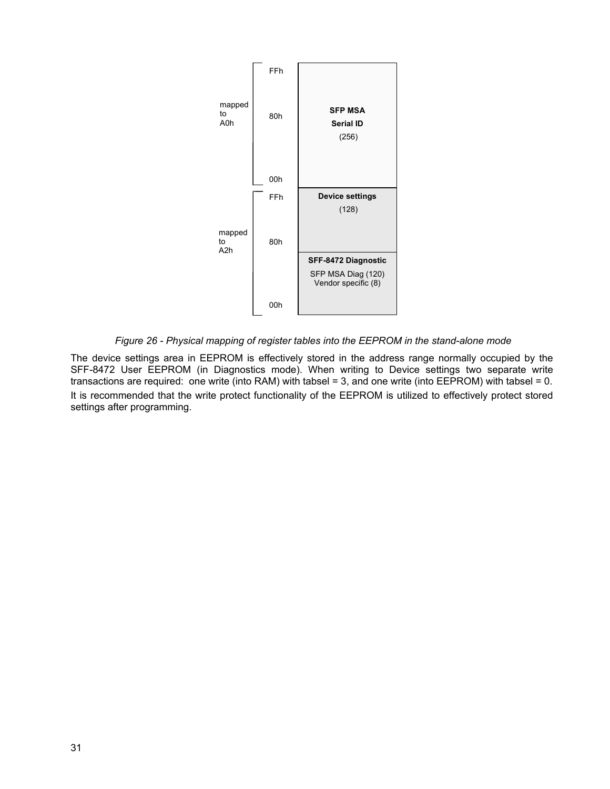

*Figure 26 - Physical mapping of register tables into the EEPROM in the stand-alone mode*

The device settings area in EEPROM is effectively stored in the address range normally occupied by the SFF-8472 User EEPROM (in Diagnostics mode). When writing to Device settings two separate write transactions are required: one write (into RAM) with tabsel = 3, and one write (into EEPROM) with tabsel = 0. It is recommended that the write protect functionality of the EEPROM is utilized to effectively protect stored settings after programming.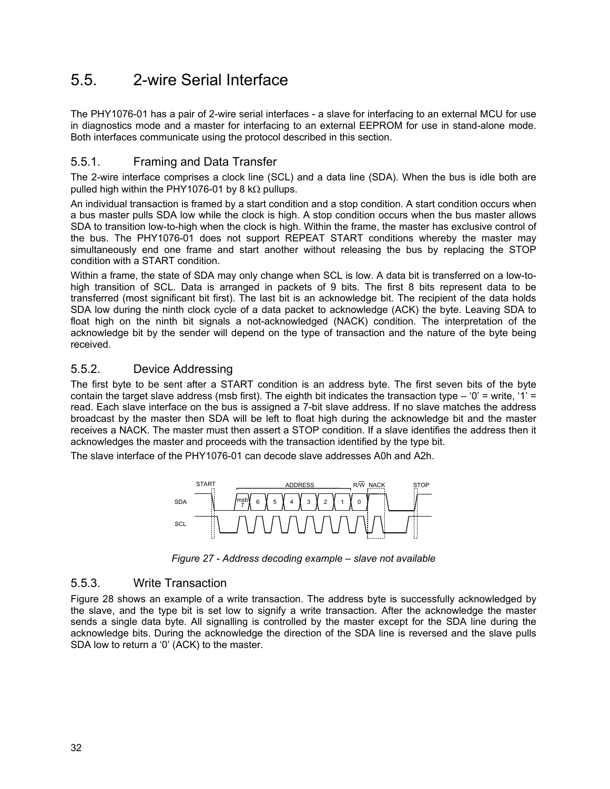### <span id="page-31-0"></span>5.5. 2-wire Serial Interface

The PHY1076-01 has a pair of 2-wire serial interfaces - a slave for interfacing to an external MCU for use in diagnostics mode and a master for interfacing to an external EEPROM for use in stand-alone mode. Both interfaces communicate using the protocol described in this section.

#### 5.5.1. Framing and Data Transfer

The 2-wire interface comprises a clock line (SCL) and a data line (SDA). When the bus is idle both are pulled high within the PHY1076-01 by 8 k $\Omega$  pullups.

An individual transaction is framed by a start condition and a stop condition. A start condition occurs when a bus master pulls SDA low while the clock is high. A stop condition occurs when the bus master allows SDA to transition low-to-high when the clock is high. Within the frame, the master has exclusive control of the bus. The PHY1076-01 does not support REPEAT START conditions whereby the master may simultaneously end one frame and start another without releasing the bus by replacing the STOP condition with a START condition.

Within a frame, the state of SDA may only change when SCL is low. A data bit is transferred on a low-tohigh transition of SCL. Data is arranged in packets of 9 bits. The first 8 bits represent data to be transferred (most significant bit first). The last bit is an acknowledge bit. The recipient of the data holds SDA low during the ninth clock cycle of a data packet to acknowledge (ACK) the byte. Leaving SDA to float high on the ninth bit signals a not-acknowledged (NACK) condition. The interpretation of the acknowledge bit by the sender will depend on the type of transaction and the nature of the byte being received.

#### 5.5.2. Device Addressing

The first byte to be sent after a START condition is an address byte. The first seven bits of the byte contain the target slave address (msb first). The eighth bit indicates the transaction type – '0' = write, '1' = read. Each slave interface on the bus is assigned a 7-bit slave address. If no slave matches the address broadcast by the master then SDA will be left to float high during the acknowledge bit and the master receives a NACK. The master must then assert a STOP condition. If a slave identifies the address then it acknowledges the master and proceeds with the transaction identified by the type bit.

The slave interface of the PHY1076-01 can decode slave addresses A0h and A2h.



*Figure 27 - Address decoding example – slave not available*

#### 5.5.3. Write Transaction

Figure 28 shows an example of a write transaction. The address byte is successfully acknowledged by the slave, and the type bit is set low to signify a write transaction. After the acknowledge the master sends a single data byte. All signalling is controlled by the master except for the SDA line during the acknowledge bits. During the acknowledge the direction of the SDA line is reversed and the slave pulls SDA low to return a '0' (ACK) to the master.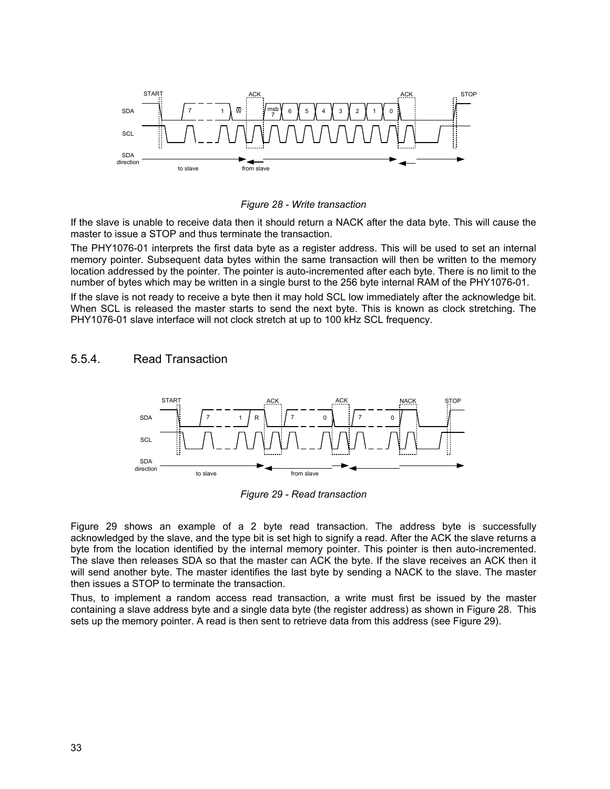

*Figure 28 - Write transaction*

If the slave is unable to receive data then it should return a NACK after the data byte. This will cause the master to issue a STOP and thus terminate the transaction.

The PHY1076-01 interprets the first data byte as a register address. This will be used to set an internal memory pointer. Subsequent data bytes within the same transaction will then be written to the memory location addressed by the pointer. The pointer is auto-incremented after each byte. There is no limit to the number of bytes which may be written in a single burst to the 256 byte internal RAM of the PHY1076-01.

If the slave is not ready to receive a byte then it may hold SCL low immediately after the acknowledge bit. When SCL is released the master starts to send the next byte. This is known as clock stretching. The PHY1076-01 slave interface will not clock stretch at up to 100 kHz SCL frequency.

#### 5.5.4. Read Transaction



*Figure 29 - Read transaction*

Figure 29 shows an example of a 2 byte read transaction. The address byte is successfully acknowledged by the slave, and the type bit is set high to signify a read. After the ACK the slave returns a byte from the location identified by the internal memory pointer. This pointer is then auto-incremented. The slave then releases SDA so that the master can ACK the byte. If the slave receives an ACK then it will send another byte. The master identifies the last byte by sending a NACK to the slave. The master then issues a STOP to terminate the transaction.

Thus, to implement a random access read transaction, a write must first be issued by the master containing a slave address byte and a single data byte (the register address) as shown in Figure 28. This sets up the memory pointer. A read is then sent to retrieve data from this address (see Figure 29).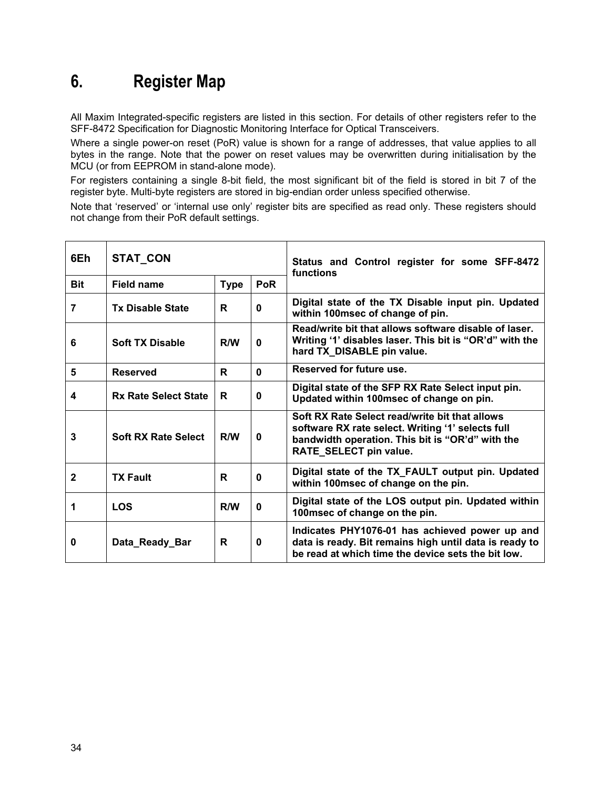## <span id="page-33-0"></span>**6. Register Map**

All Maxim Integrated-specific registers are listed in this section. For details of other registers refer to the SFF-8472 Specification for Diagnostic Monitoring Interface for Optical Transceivers.

Where a single power-on reset (PoR) value is shown for a range of addresses, that value applies to all bytes in the range. Note that the power on reset values may be overwritten during initialisation by the MCU (or from EEPROM in stand-alone mode).

For registers containing a single 8-bit field, the most significant bit of the field is stored in bit 7 of the register byte. Multi-byte registers are stored in big-endian order unless specified otherwise.

Note that 'reserved' or 'internal use only' register bits are specified as read only. These registers should not change from their PoR default settings.

| 6Eh          | STAT_CON                                |     |              | Status and Control register for some SFF-8472<br>functions                                                                                                                        |
|--------------|-----------------------------------------|-----|--------------|-----------------------------------------------------------------------------------------------------------------------------------------------------------------------------------|
| <b>Bit</b>   | <b>PoR</b><br>Field name<br><b>Type</b> |     |              |                                                                                                                                                                                   |
| 7            | <b>Tx Disable State</b>                 | R   | 0            | Digital state of the TX Disable input pin. Updated<br>within 100msec of change of pin.                                                                                            |
| 6            | <b>Soft TX Disable</b>                  | R/W | 0            | Read/write bit that allows software disable of laser.<br>Writing '1' disables laser. This bit is "OR'd" with the<br>hard TX_DISABLE pin value.                                    |
| 5            | <b>Reserved</b>                         | R   | $\mathbf{0}$ | Reserved for future use.                                                                                                                                                          |
| 4            | <b>Rx Rate Select State</b>             | R   | 0            | Digital state of the SFP RX Rate Select input pin.<br>Updated within 100msec of change on pin.                                                                                    |
| 3            | <b>Soft RX Rate Select</b>              | R/W | 0            | Soft RX Rate Select read/write bit that allows<br>software RX rate select. Writing '1' selects full<br>bandwidth operation. This bit is "OR'd" with the<br>RATE_SELECT pin value. |
| $\mathbf{2}$ | <b>TX Fault</b>                         | R   | 0            | Digital state of the TX_FAULT output pin. Updated<br>within 100msec of change on the pin.                                                                                         |
| 1            | <b>LOS</b>                              | R/W | 0            | Digital state of the LOS output pin. Updated within<br>100msec of change on the pin.                                                                                              |
| 0            | Data_Ready_Bar                          | R   | 0            | Indicates PHY1076-01 has achieved power up and<br>data is ready. Bit remains high until data is ready to<br>be read at which time the device sets the bit low.                    |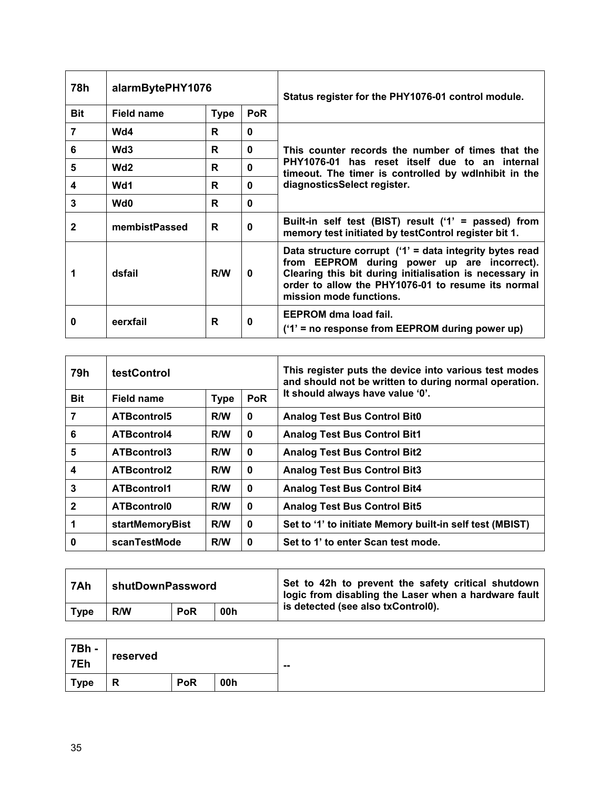| 78h        | alarmBytePHY1076 |             |              | Status register for the PHY1076-01 control module.                                                                                                                                                                                                   |  |
|------------|------------------|-------------|--------------|------------------------------------------------------------------------------------------------------------------------------------------------------------------------------------------------------------------------------------------------------|--|
| <b>Bit</b> | Field name       | <b>Type</b> | <b>PoR</b>   |                                                                                                                                                                                                                                                      |  |
| 7          | Wd4              | R           | $\bf{0}$     |                                                                                                                                                                                                                                                      |  |
| 6          | Wd <sub>3</sub>  | R           | $\bf{0}$     | This counter records the number of times that the                                                                                                                                                                                                    |  |
| 5          | Wd <sub>2</sub>  | R           | $\bf{0}$     | PHY1076-01 has reset itself due to an internal<br>timeout. The timer is controlled by wdlnhibit in the                                                                                                                                               |  |
| 4          | Wd1              | R           | $\bf{0}$     | diagnosticsSelect register.                                                                                                                                                                                                                          |  |
| 3          | Wd <sub>0</sub>  | R           | $\mathbf{0}$ |                                                                                                                                                                                                                                                      |  |
| 2          | membistPassed    | R           | $\bf{0}$     | Built-in self test (BIST) result ('1' = passed) from<br>memory test initiated by testControl register bit 1.                                                                                                                                         |  |
|            | dsfail           | R/W         | 0            | Data structure corrupt $('1)$ = data integrity bytes read<br>from EEPROM during power up are incorrect).<br>Clearing this bit during initialisation is necessary in<br>order to allow the PHY1076-01 to resume its normal<br>mission mode functions. |  |
| 0          | eerxfail         | R           | 0            | <b>EEPROM</b> dma load fail.<br>$('1)$ = no response from EEPROM during power up)                                                                                                                                                                    |  |

| 79h          | <b>testControl</b>     |             |              | This register puts the device into various test modes<br>and should not be written to during normal operation. |
|--------------|------------------------|-------------|--------------|----------------------------------------------------------------------------------------------------------------|
| <b>Bit</b>   | Field name             | <b>Type</b> | <b>PoR</b>   | It should always have value '0'.                                                                               |
| 7            | ATBcontrol5            | R/W         | 0            | <b>Analog Test Bus Control Bit0</b>                                                                            |
| 6            | ATBcontrol4            | R/W         | $\bf{0}$     | <b>Analog Test Bus Control Bit1</b>                                                                            |
| 5            | ATBcontrol3            | R/W         | $\bf{0}$     | <b>Analog Test Bus Control Bit2</b>                                                                            |
| 4            | <b>ATBcontrol2</b>     | R/W         | 0            | <b>Analog Test Bus Control Bit3</b>                                                                            |
| 3            | <b>ATBcontrol1</b>     | R/W         | $\bf{0}$     | <b>Analog Test Bus Control Bit4</b>                                                                            |
| $\mathbf{2}$ | ATBcontrol0            | R/W         | $\bf{0}$     | <b>Analog Test Bus Control Bit5</b>                                                                            |
|              | <b>startMemoryBist</b> | R/W         | $\mathbf{0}$ | Set to '1' to initiate Memory built-in self test (MBIST)                                                       |
| 0            | scanTestMode           | R/W         | 0            | Set to 1' to enter Scan test mode.                                                                             |

| 7Ah         | shutDownPassword |                   |  | Set to 42h to prevent the safety critical shutdown<br>logic from disabling the Laser when a hardware fault |
|-------------|------------------|-------------------|--|------------------------------------------------------------------------------------------------------------|
| <b>Type</b> | R/W              | <b>PoR</b><br>00h |  | is detected (see also txControl0).                                                                         |

| 7Bh -<br>7Eh | reserved |            |     | -- |
|--------------|----------|------------|-----|----|
| <b>Type</b>  | Л        | <b>PoR</b> | 00h |    |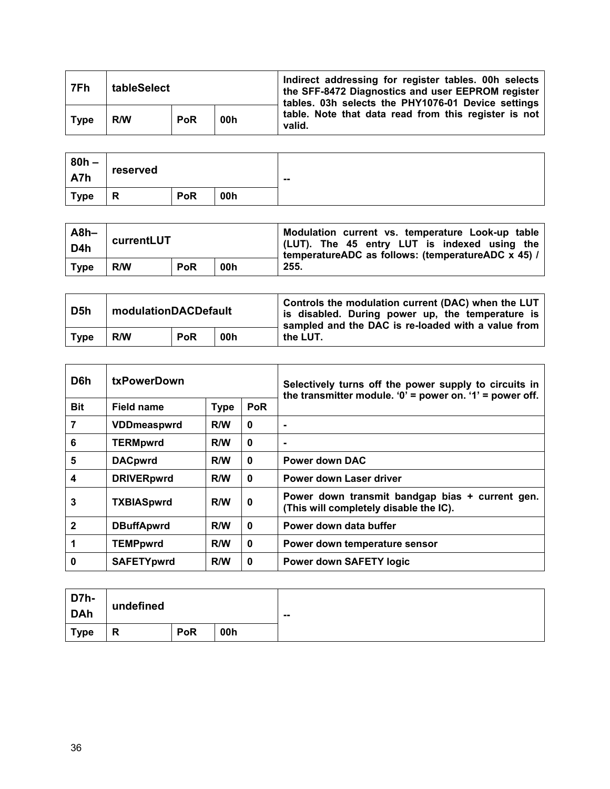| 7Fh         | tableSelect |            |     | Indirect addressing for register tables. 00h selects<br>the SFF-8472 Diagnostics and user EEPROM register<br>tables. 03h selects the PHY1076-01 Device settings |  |
|-------------|-------------|------------|-----|-----------------------------------------------------------------------------------------------------------------------------------------------------------------|--|
| <b>Type</b> | R/W         | <b>PoR</b> | 00h | table. Note that data read from this register is not<br>valid.                                                                                                  |  |

| $80h -$<br>A7h | reserved |            |     | $\sim$ |
|----------------|----------|------------|-----|--------|
| <b>Type</b>    | P<br>ĸ   | <b>PoR</b> | 00h |        |

| $A8h-$<br>D <sub>4</sub> h | currentLUT               |  |  | Modulation current vs. temperature Look-up table<br>(LUT). The 45 entry LUT is indexed using the<br>temperatureADC as follows: (temperatureADC x 45) / |
|----------------------------|--------------------------|--|--|--------------------------------------------------------------------------------------------------------------------------------------------------------|
| <b>Type</b>                | <b>PoR</b><br>00h<br>R/W |  |  | 255.                                                                                                                                                   |

| D <sub>5</sub> h | modulationDACDefault |            |     | Controls the modulation current (DAC) when the LUT<br>is disabled. During power up, the temperature is<br>sampled and the DAC is re-loaded with a value from |
|------------------|----------------------|------------|-----|--------------------------------------------------------------------------------------------------------------------------------------------------------------|
| <b>Type</b>      | R/W                  | <b>PoR</b> | 00h | the LUT.                                                                                                                                                     |

| D6h          | <b>txPowerDown</b> |             |              | Selectively turns off the power supply to circuits in<br>the transmitter module. $0'$ = power on. $1'$ = power off. |
|--------------|--------------------|-------------|--------------|---------------------------------------------------------------------------------------------------------------------|
| <b>Bit</b>   | Field name         | <b>Type</b> | <b>PoR</b>   |                                                                                                                     |
| 7            | <b>VDDmeaspwrd</b> | R/W         | $\mathbf{0}$ | ۰                                                                                                                   |
| 6            | <b>TERMpwrd</b>    | R/W         | $\mathbf{0}$ | $\blacksquare$                                                                                                      |
| 5            | <b>DACpwrd</b>     | R/W         | $\bf{0}$     | <b>Power down DAC</b>                                                                                               |
| 4            | <b>DRIVERpwrd</b>  | R/W         | $\bf{0}$     | Power down Laser driver                                                                                             |
| 3            | <b>TXBIASpwrd</b>  | R/W         | 0            | Power down transmit bandgap bias + current gen.<br>(This will completely disable the IC).                           |
| $\mathbf{2}$ | <b>DBuffApwrd</b>  | R/W         | $\mathbf{0}$ | Power down data buffer                                                                                              |
|              | <b>TEMPpwrd</b>    | R/W         | $\bf{0}$     | Power down temperature sensor                                                                                       |
| 0            | <b>SAFETYpwrd</b>  | R/W         | 0            | <b>Power down SAFETY logic</b>                                                                                      |

| D7h-<br>DAh | undefined |            |     | $\overline{\phantom{a}}$ |
|-------------|-----------|------------|-----|--------------------------|
| <b>Type</b> | R         | <b>PoR</b> | 00h |                          |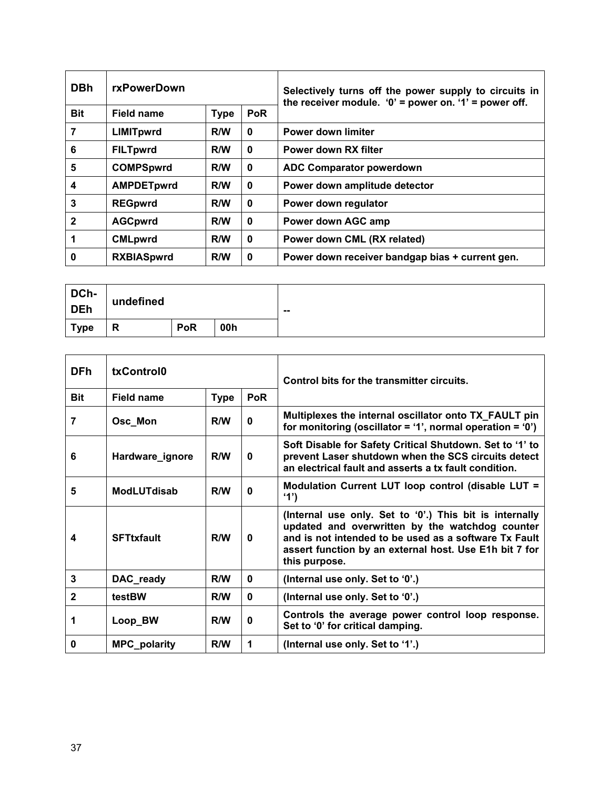| <b>DBh</b>   | rxPowerDown       |             |            | Selectively turns off the power supply to circuits in<br>the receiver module. ' $0'$ = power on. '1' = power off. |
|--------------|-------------------|-------------|------------|-------------------------------------------------------------------------------------------------------------------|
| <b>Bit</b>   | Field name        | <b>Type</b> | <b>PoR</b> |                                                                                                                   |
| 7            | <b>LIMITpwrd</b>  | R/W         | $\bf{0}$   | <b>Power down limiter</b>                                                                                         |
| 6            | <b>FILTpwrd</b>   | R/W         | 0          | Power down RX filter                                                                                              |
| 5            | <b>COMPSpwrd</b>  | R/W         | $\bf{0}$   | <b>ADC Comparator powerdown</b>                                                                                   |
| 4            | <b>AMPDETpwrd</b> | R/W         | 0          | Power down amplitude detector                                                                                     |
| 3            | <b>REGpwrd</b>    | R/W         | 0          | Power down regulator                                                                                              |
| $\mathbf{2}$ | <b>AGCpwrd</b>    | R/W         | 0          | Power down AGC amp                                                                                                |
| 1            | <b>CMLpwrd</b>    | R/W         | $\bf{0}$   | Power down CML (RX related)                                                                                       |
| 0            | <b>RXBIASpwrd</b> | R/W         | 0          | Power down receiver bandgap bias + current gen.                                                                   |

| DCh-<br><b>DEh</b> | undefined |            |     | $\sim$ $\sim$ |
|--------------------|-----------|------------|-----|---------------|
| <b>Type</b>        | R         | <b>PoR</b> | 00h |               |

| <b>DFh</b>   | txControl0          |             |            | Control bits for the transmitter circuits.                                                                                                                                                                                                     |
|--------------|---------------------|-------------|------------|------------------------------------------------------------------------------------------------------------------------------------------------------------------------------------------------------------------------------------------------|
| <b>Bit</b>   | Field name          | <b>Type</b> | <b>PoR</b> |                                                                                                                                                                                                                                                |
| 7            | Osc_Mon             | R/W         | 0          | Multiplexes the internal oscillator onto TX_FAULT pin<br>for monitoring (oscillator = '1', normal operation = '0')                                                                                                                             |
| 6            | Hardware_ignore     | R/W         | 0          | Soft Disable for Safety Critical Shutdown. Set to '1' to<br>prevent Laser shutdown when the SCS circuits detect<br>an electrical fault and asserts a tx fault condition.                                                                       |
| 5            | <b>ModLUTdisab</b>  | R/W         | 0          | Modulation Current LUT loop control (disable LUT =<br>'1')                                                                                                                                                                                     |
| 4            | <b>SFTtxfault</b>   | R/W         | 0          | (Internal use only. Set to '0'.) This bit is internally<br>updated and overwritten by the watchdog counter<br>and is not intended to be used as a software Tx Fault<br>assert function by an external host. Use E1h bit 7 for<br>this purpose. |
| 3            | DAC_ready           | R/W         | 0          | (Internal use only. Set to '0'.)                                                                                                                                                                                                               |
| $\mathbf{2}$ | testBW              | R/W         | 0          | (Internal use only. Set to '0'.)                                                                                                                                                                                                               |
| 1            | Loop_BW             | R/W         | 0          | Controls the average power control loop response.<br>Set to '0' for critical damping.                                                                                                                                                          |
| 0            | <b>MPC_polarity</b> | R/W         | 1          | (Internal use only. Set to '1'.)                                                                                                                                                                                                               |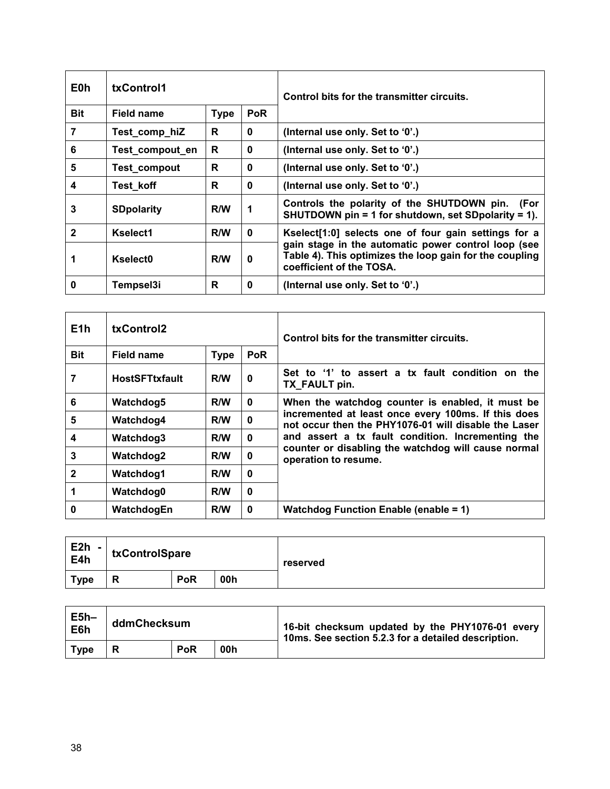| E0h          | txControl1                              |     |              | Control bits for the transmitter circuits.                                                                                                 |
|--------------|-----------------------------------------|-----|--------------|--------------------------------------------------------------------------------------------------------------------------------------------|
| <b>Bit</b>   | <b>PoR</b><br><b>Type</b><br>Field name |     |              |                                                                                                                                            |
| 7            | Test_comp_hiZ                           | R   | $\bf{0}$     | (Internal use only. Set to '0'.)                                                                                                           |
| 6            | Test_compout_en                         | R   | $\bf{0}$     | (Internal use only. Set to '0'.)                                                                                                           |
| 5            | Test_compout                            | R   | $\bf{0}$     | (Internal use only. Set to '0'.)                                                                                                           |
| 4            | Test_koff                               | R   | $\mathbf{0}$ | (Internal use only. Set to '0'.)                                                                                                           |
| 3            | <b>SDpolarity</b>                       | R/W | $\mathbf 1$  | Controls the polarity of the SHUTDOWN pin.<br>(For<br>SHUTDOWN pin = 1 for shutdown, set SDpolarity = 1).                                  |
| $\mathbf{2}$ | Kselect1                                | R/W | 0            | Kselect[1:0] selects one of four gain settings for a                                                                                       |
|              | Kselect <sub>0</sub>                    | R/W | $\bf{0}$     | gain stage in the automatic power control loop (see<br>Table 4). This optimizes the loop gain for the coupling<br>coefficient of the TOSA. |
| 0            | Tempsel3i                               | R   | $\bf{0}$     | (Internal use only. Set to '0'.)                                                                                                           |

| E1h              | txControl2                              |     |              | Control bits for the transmitter circuits.                                                                  |
|------------------|-----------------------------------------|-----|--------------|-------------------------------------------------------------------------------------------------------------|
| <b>Bit</b>       | <b>PoR</b><br>Field name<br><b>Type</b> |     |              |                                                                                                             |
| 7                | <b>HostSFTtxfault</b>                   | R/W | 0            | Set to '1' to assert a tx fault condition on the<br>TX_FAULT pin.                                           |
| $6\phantom{1}6$  | Watchdog5                               | R/W | $\mathbf{0}$ | When the watchdog counter is enabled, it must be                                                            |
| 5                | Watchdog4                               | R/W | $\mathbf{0}$ | incremented at least once every 100ms. If this does<br>not occur then the PHY1076-01 will disable the Laser |
| $\boldsymbol{4}$ | Watchdog3                               | R/W | $\bf{0}$     | and assert a tx fault condition. Incrementing the                                                           |
| $\mathbf{3}$     | Watchdog2                               | R/W | 0            | counter or disabling the watchdog will cause normal<br>operation to resume.                                 |
| $\overline{2}$   | Watchdog1                               | R/W | $\bf{0}$     |                                                                                                             |
| $\mathbf 1$      | Watchdog0                               | R/W | $\bf{0}$     |                                                                                                             |
| 0                | WatchdogEn                              | R/W | $\bf{0}$     | <b>Watchdog Function Enable (enable = 1)</b>                                                                |

| E2h<br>E4h<br>$\overline{\phantom{a}}$ | txControlSpare |            |     | reserved |
|----------------------------------------|----------------|------------|-----|----------|
| <b>Type</b>                            | о<br>''        | <b>PoR</b> | 00h |          |

| $E5h-$<br>E6h | ddmChecksum |            |     | 16-bit checksum updated by the PHY1076-01 every<br>10ms. See section 5.2.3 for a detailed description. |
|---------------|-------------|------------|-----|--------------------------------------------------------------------------------------------------------|
| <b>Type</b>   |             | <b>PoR</b> | 00h |                                                                                                        |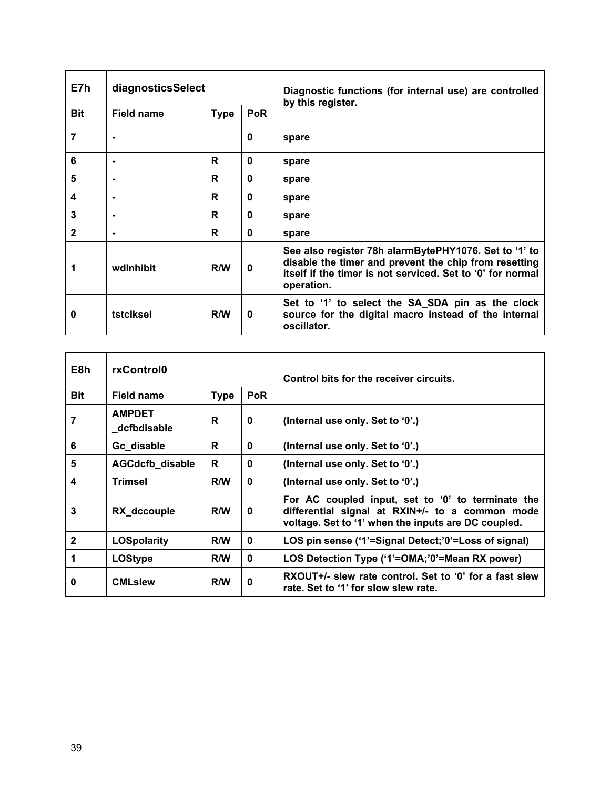| E7h          | diagnosticsSelect        |             |            | Diagnostic functions (for internal use) are controlled<br>by this register.                                                                                                                |
|--------------|--------------------------|-------------|------------|--------------------------------------------------------------------------------------------------------------------------------------------------------------------------------------------|
| <b>Bit</b>   | <b>Field name</b>        | <b>Type</b> | <b>PoR</b> |                                                                                                                                                                                            |
| 7            | ٠                        |             | 0          | spare                                                                                                                                                                                      |
| 6            | $\blacksquare$           | R           | 0          | spare                                                                                                                                                                                      |
| 5            | $\overline{\phantom{a}}$ | R           | 0          | spare                                                                                                                                                                                      |
| 4            | ۰                        | R           | 0          | spare                                                                                                                                                                                      |
| 3            | $\blacksquare$           | R           | 0          | spare                                                                                                                                                                                      |
| $\mathbf{2}$ | ٠                        | R           | 0          | spare                                                                                                                                                                                      |
| 1            | wdlnhibit                | R/W         | 0          | See also register 78h alarmBytePHY1076. Set to '1' to<br>disable the timer and prevent the chip from resetting<br>itself if the timer is not serviced. Set to '0' for normal<br>operation. |
| 0            | tstclksel                | R/W         | 0          | Set to '1' to select the SA_SDA pin as the clock<br>source for the digital macro instead of the internal<br>oscillator.                                                                    |

| E8h          | rxControl0                   |             |              | Control bits for the receiver circuits.                                                                                                                     |
|--------------|------------------------------|-------------|--------------|-------------------------------------------------------------------------------------------------------------------------------------------------------------|
| <b>Bit</b>   | Field name                   | <b>Type</b> | <b>PoR</b>   |                                                                                                                                                             |
| 7            | <b>AMPDET</b><br>dcfbdisable | R           | 0            | (Internal use only. Set to '0'.)                                                                                                                            |
| 6            | Gc_disable                   | R           | $\bf{0}$     | (Internal use only. Set to '0'.)                                                                                                                            |
| 5            | <b>AGCdcfb_disable</b>       | R           | $\bf{0}$     | (Internal use only. Set to '0'.)                                                                                                                            |
| 4            | Trimsel                      | R/W         | $\bf{0}$     | (Internal use only. Set to '0'.)                                                                                                                            |
| 3            | RX_dccouple                  | R/W         | $\mathbf{0}$ | For AC coupled input, set to '0' to terminate the<br>differential signal at RXIN+/- to a common mode<br>voltage. Set to '1' when the inputs are DC coupled. |
| $\mathbf{2}$ | <b>LOSpolarity</b>           | R/W         | $\mathbf 0$  | LOS pin sense ('1'=Signal Detect;'0'=Loss of signal)                                                                                                        |
| 1            | <b>LOStype</b>               | R/W         | $\bf{0}$     | LOS Detection Type ('1'=OMA;'0'=Mean RX power)                                                                                                              |
| 0            | <b>CMLslew</b>               | R/W         | $\bf{0}$     | RXOUT+/- slew rate control. Set to '0' for a fast slew<br>rate. Set to '1' for slow slew rate.                                                              |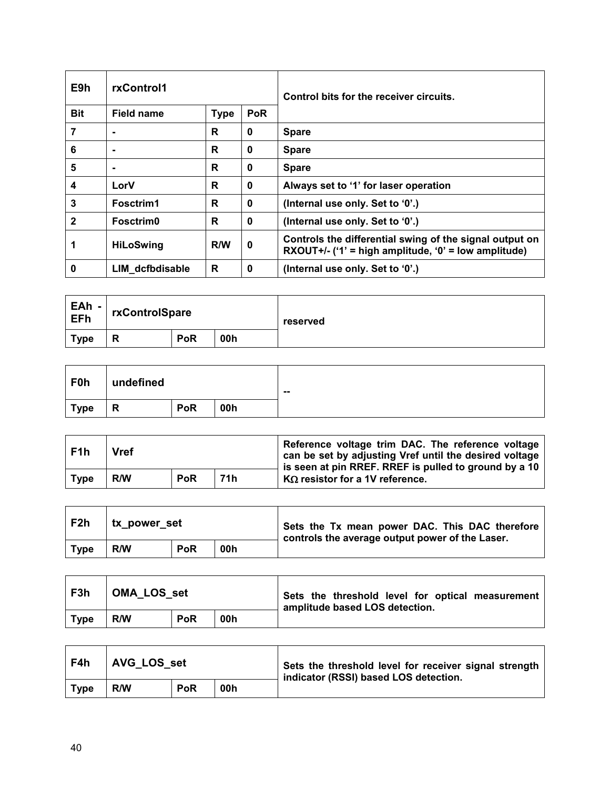| E9h          | rxControl1                              |     |          | Control bits for the receiver circuits.                                                                         |
|--------------|-----------------------------------------|-----|----------|-----------------------------------------------------------------------------------------------------------------|
| <b>Bit</b>   | Field name<br><b>Type</b><br><b>PoR</b> |     |          |                                                                                                                 |
| 7            | ۰                                       | R   | 0        | <b>Spare</b>                                                                                                    |
| 6            |                                         | R   | $\bf{0}$ | <b>Spare</b>                                                                                                    |
| 5            | ۰                                       | R   | 0        | <b>Spare</b>                                                                                                    |
| 4            | LorV                                    | R   | 0        | Always set to '1' for laser operation                                                                           |
| 3            | Fosctrim1                               | R   | $\bf{0}$ | (Internal use only. Set to '0'.)                                                                                |
| $\mathbf{2}$ | Fosctrim0                               | R   | $\bf{0}$ | (Internal use only. Set to '0'.)                                                                                |
|              | <b>HiLoSwing</b>                        | R/W | 0        | Controls the differential swing of the signal output on<br>RXOUT+/- ('1' = high amplitude, '0' = low amplitude) |
| 0            | LIM dcfbdisable                         | R   | 0        | (Internal use only. Set to '0'.)                                                                                |

| EAh -<br>EFh | rxControlSpare |            |     | reserved |
|--------------|----------------|------------|-----|----------|
| Type         | Ð<br>ĸ         | <b>PoR</b> | 00h |          |

| F <sub>1</sub> h | <b>Vref</b> |            |     | Reference voltage trim DAC. The reference voltage<br>can be set by adjusting Vref until the desired voltage<br>is seen at pin RREF. RREF is pulled to ground by a 10 |  |
|------------------|-------------|------------|-----|----------------------------------------------------------------------------------------------------------------------------------------------------------------------|--|
| <b>Type</b>      | R/W         | <b>PoR</b> | 71h | $K\Omega$ resistor for a 1V reference.                                                                                                                               |  |

| F2h         | tx_power_set |            |     | Sets the Tx mean power DAC. This DAC therefore<br>controls the average output power of the Laser. |
|-------------|--------------|------------|-----|---------------------------------------------------------------------------------------------------|
| <b>Type</b> | R/W          | <b>PoR</b> | 00h |                                                                                                   |

| F3h         | <b>OMA LOS set</b> |            |     | Sets the threshold level for optical measurement<br>amplitude based LOS detection. |
|-------------|--------------------|------------|-----|------------------------------------------------------------------------------------|
| <b>Type</b> | R/W                | <b>PoR</b> | 00h |                                                                                    |

| F4h         | AVG LOS set |            |     | Sets the threshold level for receiver signal strength<br>indicator (RSSI) based LOS detection. |
|-------------|-------------|------------|-----|------------------------------------------------------------------------------------------------|
| <b>Type</b> | R/W         | <b>PoR</b> | 00h |                                                                                                |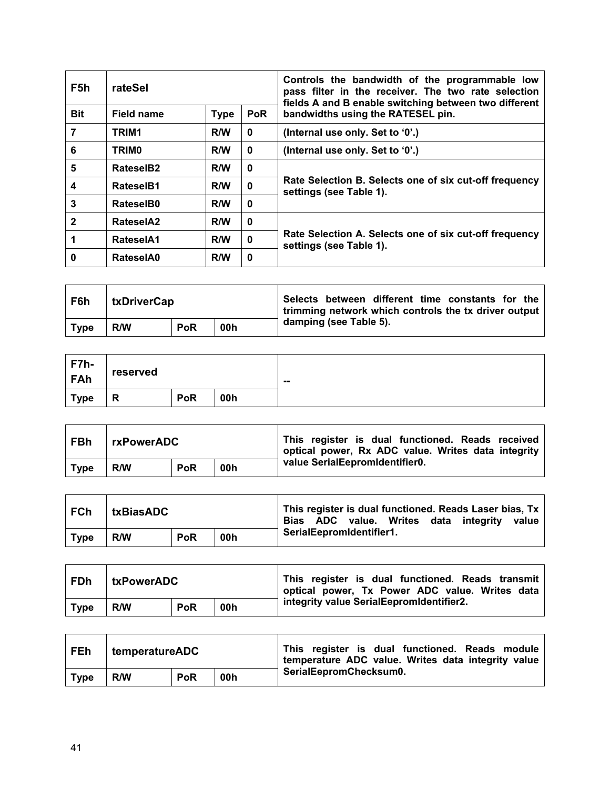| F5h          | rateSel      |             |             | Controls the bandwidth of the programmable low<br>pass filter in the receiver. The two rate selection<br>fields A and B enable switching between two different |
|--------------|--------------|-------------|-------------|----------------------------------------------------------------------------------------------------------------------------------------------------------------|
| <b>Bit</b>   | Field name   | <b>Type</b> | <b>PoR</b>  | bandwidths using the RATESEL pin.                                                                                                                              |
| 7            | TRIM1        | R/W         | $\mathbf 0$ | (Internal use only. Set to '0'.)                                                                                                                               |
| 6            | <b>TRIMO</b> | R/W         | $\bf{0}$    | (Internal use only. Set to '0'.)                                                                                                                               |
| 5            | RateselB2    | R/W         | 0           |                                                                                                                                                                |
| 4            | RateselB1    | R/W         | 0           | Rate Selection B. Selects one of six cut-off frequency<br>settings (see Table 1).                                                                              |
| 3            | RateselB0    | R/W         | $\bf{0}$    |                                                                                                                                                                |
| $\mathbf{2}$ | RateselA2    | R/W         | 0           |                                                                                                                                                                |
|              | RateselA1    | R/W         | 0           | Rate Selection A. Selects one of six cut-off frequency<br>settings (see Table 1).                                                                              |
| 0            | RateselA0    | R/W         | 0           |                                                                                                                                                                |

| F6h         | txDriverCap |            |     | Selects between different time constants for the<br>trimming network which controls the tx driver output |
|-------------|-------------|------------|-----|----------------------------------------------------------------------------------------------------------|
| <b>Type</b> | R/W         | <b>PoR</b> | 00h | damping (see Table 5).                                                                                   |

| $F7h-$<br>FAh | reserved |            |     | $\sim$ |
|---------------|----------|------------|-----|--------|
| <b>Type</b>   | D<br>ĸ   | <b>PoR</b> | 00h |        |

| ! FBh       | rxPowerADC |            |     | This register is dual functioned. Reads received<br>optical power, Rx ADC value. Writes data integrity |
|-------------|------------|------------|-----|--------------------------------------------------------------------------------------------------------|
| <b>Type</b> | R/W        | <b>PoR</b> | 00h | value SerialEepromIdentifier0.                                                                         |

| FCh         | txBiasADC |            |     | This register is dual functioned. Reads Laser bias, Tx<br>Bias ADC value. Writes data integrity<br>value |
|-------------|-----------|------------|-----|----------------------------------------------------------------------------------------------------------|
| <b>Type</b> | R/W       | <b>PoR</b> | 00h | SerialEepromIdentifier1.                                                                                 |

| FDh         | <b>txPowerADC</b> |            |     | This register is dual functioned. Reads transmit<br>optical power, Tx Power ADC value. Writes data |
|-------------|-------------------|------------|-----|----------------------------------------------------------------------------------------------------|
| <b>Type</b> | R/W               | <b>PoR</b> | 00h | integrity value SerialEepromIdentifier2.                                                           |

| <b>FEh</b> | temperatureADC |            |     | This register is dual functioned. Reads module<br>temperature ADC value. Writes data integrity value |
|------------|----------------|------------|-----|------------------------------------------------------------------------------------------------------|
| Type       | R/W            | <b>PoR</b> | 00h | SerialEepromChecksum0.                                                                               |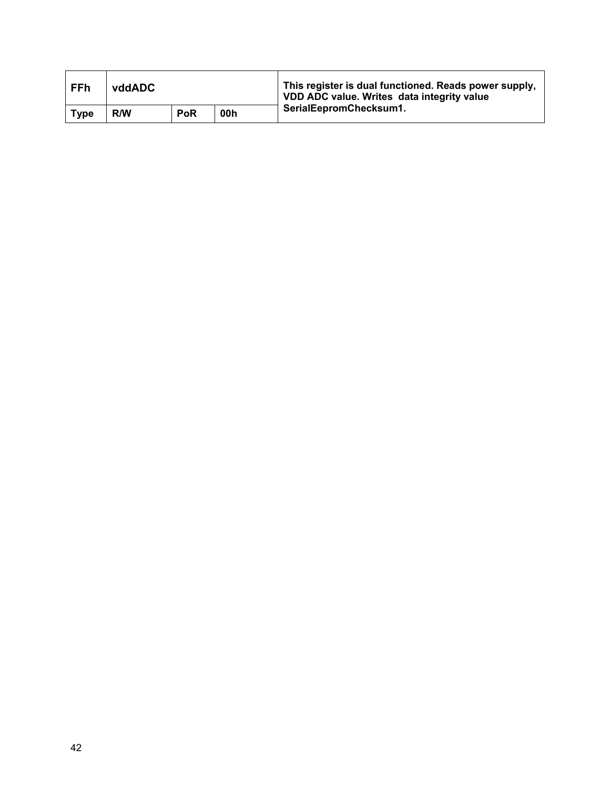| <b>FFh</b>  | vddADC |            |     | This register is dual functioned. Reads power supply,<br>VDD ADC value. Writes data integrity value |  |
|-------------|--------|------------|-----|-----------------------------------------------------------------------------------------------------|--|
| <b>Type</b> | R/W    | <b>PoR</b> | 00h | SerialEepromChecksum1.                                                                              |  |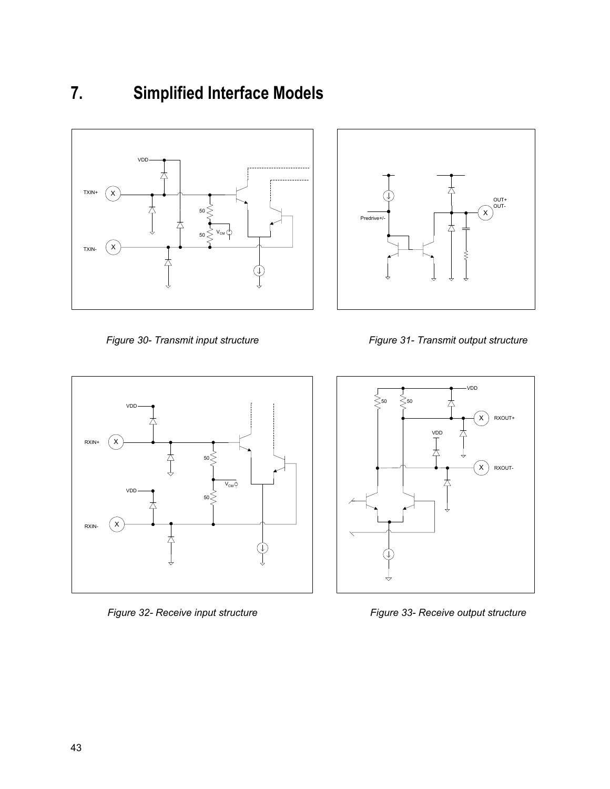# <span id="page-42-0"></span>**7. Simplified Interface Models**







*Figure 32- Receive input structure Figure 33- Receive output structure*



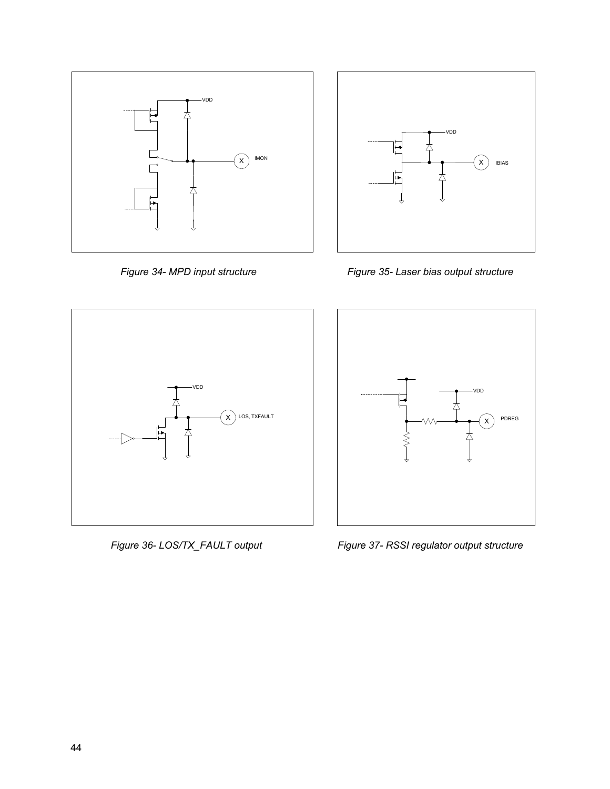



*Figure 34- MPD input structure Figure 35- Laser bias output structure*





*Figure 36- LOS/TX\_FAULT output Figure 37- RSSI regulator output structure*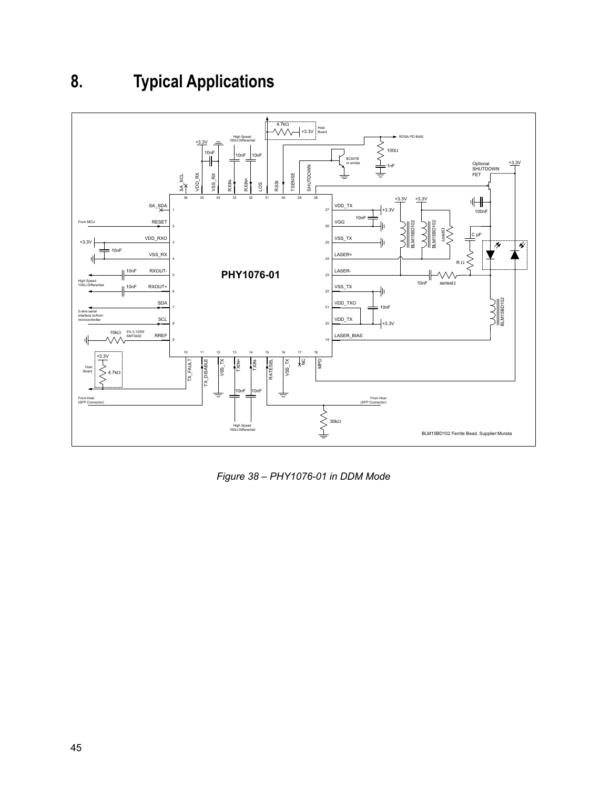# <span id="page-44-0"></span>**8. Typical Applications**



*Figure 38 – PHY1076-01 in DDM Mode*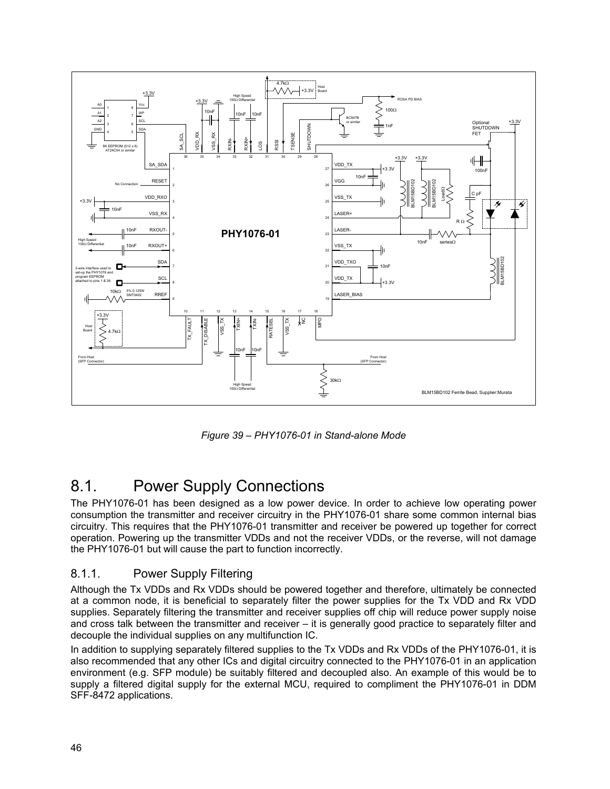

*Figure 39 – PHY1076-01 in Stand-alone Mode*

## <span id="page-45-0"></span>8.1. Power Supply Connections

The PHY1076-01 has been designed as a low power device. In order to achieve low operating power consumption the transmitter and receiver circuitry in the PHY1076-01 share some common internal bias circuitry. This requires that the PHY1076-01 transmitter and receiver be powered up together for correct operation. Powering up the transmitter VDDs and not the receiver VDDs, or the reverse, will not damage the PHY1076-01 but will cause the part to function incorrectly.

#### 8.1.1. Power Supply Filtering

Although the Tx VDDs and Rx VDDs should be powered together and therefore, ultimately be connected at a common node, it is beneficial to separately filter the power supplies for the Tx VDD and Rx VDD supplies. Separately filtering the transmitter and receiver supplies off chip will reduce power supply noise and cross talk between the transmitter and receiver – it is generally good practice to separately filter and decouple the individual supplies on any multifunction IC.

In addition to supplying separately filtered supplies to the Tx VDDs and Rx VDDs of the PHY1076-01, it is also recommended that any other ICs and digital circuitry connected to the PHY1076-01 in an application environment (e.g. SFP module) be suitably filtered and decoupled also. An example of this would be to supply a filtered digital supply for the external MCU, required to compliment the PHY1076-01 in DDM SFF-8472 applications.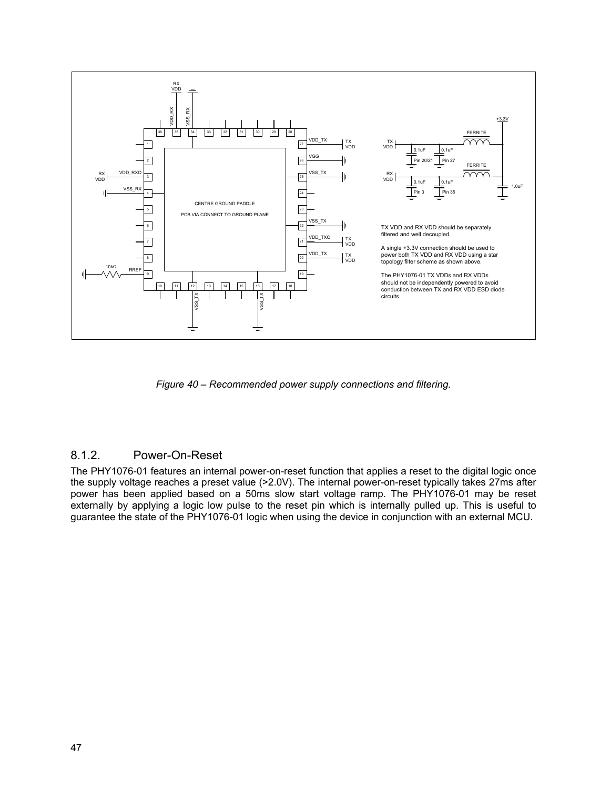

*Figure 40 – Recommended power supply connections and filtering.*

#### 8.1.2. Power-On-Reset

The PHY1076-01 features an internal power-on-reset function that applies a reset to the digital logic once the supply voltage reaches a preset value (>2.0V). The internal power-on-reset typically takes 27ms after power has been applied based on a 50ms slow start voltage ramp. The PHY1076-01 may be reset externally by applying a logic low pulse to the reset pin which is internally pulled up. This is useful to guarantee the state of the PHY1076-01 logic when using the device in conjunction with an external MCU.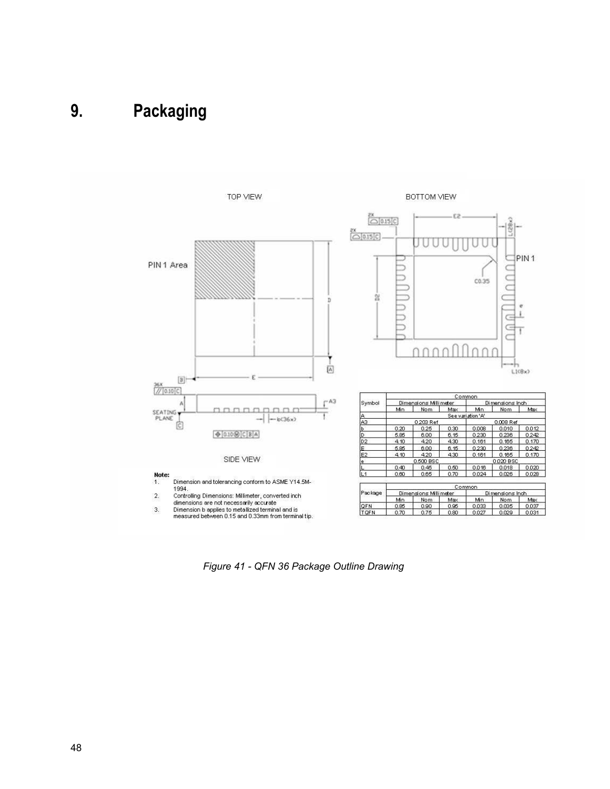# <span id="page-47-0"></span>**9. Packaging**



*Figure 41 - QFN 36 Package Outline Drawing*